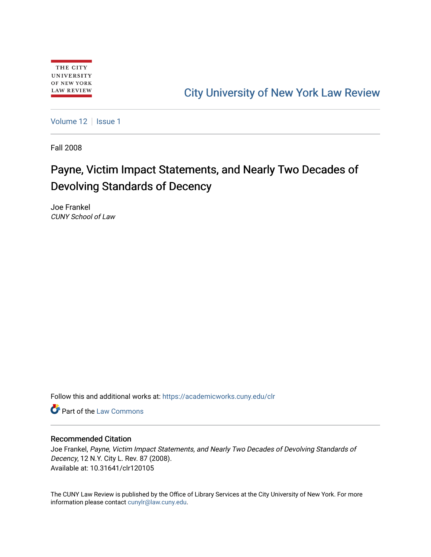# [City University of New York Law Review](https://academicworks.cuny.edu/clr)

[Volume 12](https://academicworks.cuny.edu/clr/vol12) | [Issue 1](https://academicworks.cuny.edu/clr/vol12/iss1)

Fall 2008

# Payne, Victim Impact Statements, and Nearly Two Decades of Devolving Standards of Decency

Joe Frankel CUNY School of Law

Follow this and additional works at: [https://academicworks.cuny.edu/clr](https://academicworks.cuny.edu/clr?utm_source=academicworks.cuny.edu%2Fclr%2Fvol12%2Fiss1%2F6&utm_medium=PDF&utm_campaign=PDFCoverPages) 

**C** Part of the [Law Commons](http://network.bepress.com/hgg/discipline/578?utm_source=academicworks.cuny.edu%2Fclr%2Fvol12%2Fiss1%2F6&utm_medium=PDF&utm_campaign=PDFCoverPages)

# Recommended Citation

Joe Frankel, Payne, Victim Impact Statements, and Nearly Two Decades of Devolving Standards of Decency, 12 N.Y. City L. Rev. 87 (2008). Available at: 10.31641/clr120105

The CUNY Law Review is published by the Office of Library Services at the City University of New York. For more information please contact [cunylr@law.cuny.edu](mailto:cunylr@law.cuny.edu).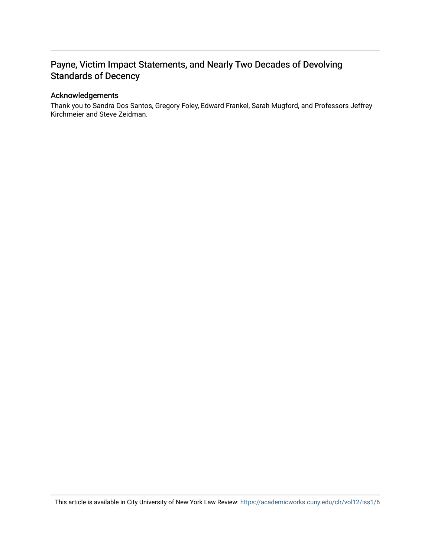# Payne, Victim Impact Statements, and Nearly Two Decades of Devolving Standards of Decency

# Acknowledgements

Thank you to Sandra Dos Santos, Gregory Foley, Edward Frankel, Sarah Mugford, and Professors Jeffrey Kirchmeier and Steve Zeidman.

This article is available in City University of New York Law Review: <https://academicworks.cuny.edu/clr/vol12/iss1/6>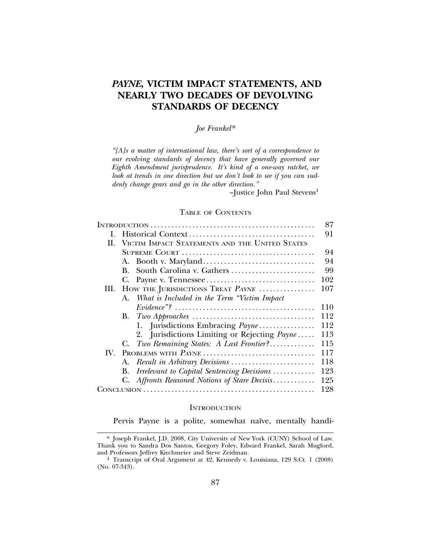# *PAYNE***, VICTIM IMPACT STATEMENTS, AND NEARLY TWO DECADES OF DEVOLVING STANDARDS OF DECENCY**

# *Joe Frankel\**

*"[A]s a matter of international law, there's sort of a correspondence to our evolving standards of decency that have generally governed our Eighth Amendment jurisprudence. It's kind of a one-way ratchet, we look at trends in one direction but we don't look to see if you can suddenly change gears and go in the other direction."*

 $-$ Justice John Paul Stevens<sup>1</sup>

#### TABLE OF CONTENTS

|     |                                                     | 87  |
|-----|-----------------------------------------------------|-----|
| L.  |                                                     | 91  |
|     | II. VICTIM IMPACT STATEMENTS AND THE UNITED STATES  |     |
|     |                                                     | 94  |
|     |                                                     | 94  |
|     | South Carolina v. Gathers<br>В.                     | 99  |
|     | G.                                                  | 102 |
| Ш.  | HOW THE JURISDICTIONS TREAT PAYNE                   | 107 |
|     | A. What is Included in the Term "Victim Impact      |     |
|     |                                                     | 110 |
|     | В.                                                  | 112 |
|     | 1. Jurisdictions Embracing Payne                    | 112 |
|     | 2. Jurisdictions Limiting or Rejecting <i>Payne</i> | 113 |
|     | Two Remaining States: A Last Frontier?<br>C.        | 115 |
| IV. | PROBLEMS WITH PAYNE                                 | 117 |
|     | А.                                                  | 118 |
|     | Irrelevant to Capital Sentencing Decisions<br>В.    | 123 |
|     | C. Affronts Reasoned Notions of Stare Decisis       | 125 |
|     |                                                     | 128 |

#### **INTRODUCTION**

Pervis Payne is a polite, somewhat naïve, mentally handi-

<sup>\*</sup> Joseph Frankel, J.D. 2008, City University of New York (CUNY) School of Law. Thank you to Sandra Dos Santos, Gregory Foley, Edward Frankel, Sarah Mugford,

<sup>&</sup>lt;sup>1</sup> Transcript of Oral Argument at 42, Kennedy v. Louisiana, 129 S.Ct. 1 (2008) (No. 07-343).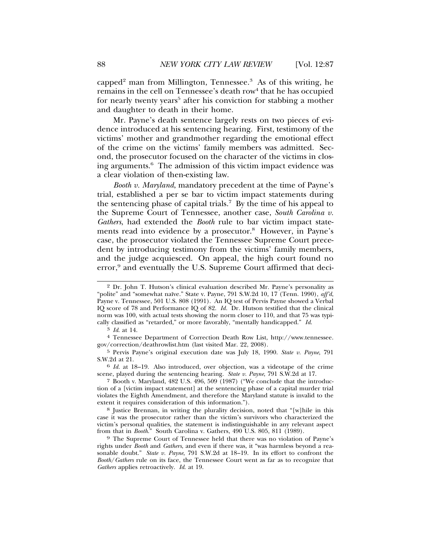capped<sup>2</sup> man from Millington, Tennessee.<sup>3</sup> As of this writing, he remains in the cell on Tennessee's death row<sup>4</sup> that he has occupied for nearly twenty years<sup>5</sup> after his conviction for stabbing a mother and daughter to death in their home.

Mr. Payne's death sentence largely rests on two pieces of evidence introduced at his sentencing hearing. First, testimony of the victims' mother and grandmother regarding the emotional effect of the crime on the victims' family members was admitted. Second, the prosecutor focused on the character of the victims in closing arguments.6 The admission of this victim impact evidence was a clear violation of then-existing law.

*Booth v. Maryland*, mandatory precedent at the time of Payne's trial, established a per se bar to victim impact statements during the sentencing phase of capital trials.<sup>7</sup> By the time of his appeal to the Supreme Court of Tennessee, another case, *South Carolina v. Gathers*, had extended the *Booth* rule to bar victim impact statements read into evidence by a prosecutor.<sup>8</sup> However, in Payne's case, the prosecutor violated the Tennessee Supreme Court precedent by introducing testimony from the victims' family members, and the judge acquiesced. On appeal, the high court found no error,<sup>9</sup> and eventually the U.S. Supreme Court affirmed that deci-

<sup>2</sup> Dr. John T. Hutson's clinical evaluation described Mr. Payne's personality as "polite" and "somewhat naïve." State v. Payne, 791 S.W.2d 10, 17 (Tenn. 1990), aff'd, Payne v. Tennessee, 501 U.S. 808 (1991). An IQ test of Pervis Payne showed a Verbal IQ score of 78 and Performance IQ of 82. *Id.* Dr. Hutson testified that the clinical norm was 100, with actual tests showing the norm closer to 110, and that 75 was typically classified as "retarded," or more favorably, "mentally handicapped." *Id*.

<sup>3</sup> *Id*. at 14.

<sup>4</sup> Tennessee Department of Correction Death Row List, http://www.tennessee. gov/correction/deathrowlist.htm (last visited Mar. 22, 2008).

<sup>5</sup> Pervis Payne's original execution date was July 18, 1990. *State v. Payne*, 791 S.W.2d at 21.

<sup>6</sup> *Id.* at 18–19. Also introduced, over objection, was a videotape of the crime scene, played during the sentencing hearing. *State v. Payne*, 791 S.W.2d at 17.

<sup>7</sup> Booth v. Maryland, 482 U.S. 496, 509 (1987) ("We conclude that the introduction of a [victim impact statement] at the sentencing phase of a capital murder trial violates the Eighth Amendment, and therefore the Maryland statute is invalid to the extent it requires consideration of this information.").

<sup>8</sup> Justice Brennan, in writing the plurality decision, noted that "[w]hile in this case it was the prosecutor rather than the victim's survivors who characterized the victim's personal qualities, the statement is indistinguishable in any relevant aspect from that in *Booth*." South Carolina v. Gathers, 490 U.S. 805, 811 (1989).

<sup>9</sup> The Supreme Court of Tennessee held that there was no violation of Payne's rights under *Booth* and *Gathers*, and even if there was, it "was harmless beyond a reasonable doubt." *State v. Payne*, 791 S.W.2d at 18–19. In its effort to confront the *Booth*/*Gathers* rule on its face, the Tennessee Court went as far as to recognize that *Gathers* applies retroactively. *Id*. at 19.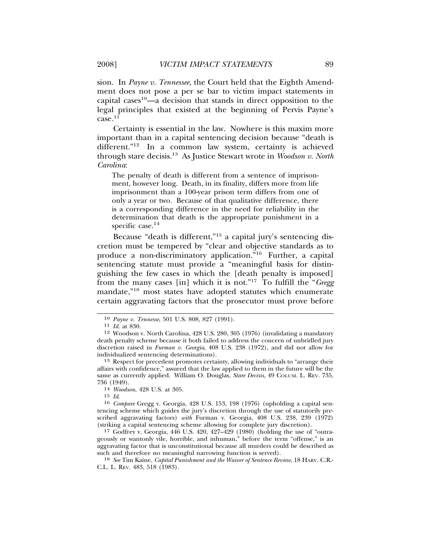sion. In *Payne v. Tennessee*, the Court held that the Eighth Amendment does not pose a per se bar to victim impact statements in capital cases<sup>10</sup>—a decision that stands in direct opposition to the legal principles that existed at the beginning of Pervis Payne's  $case.<sup>11</sup>$ 

Certainty is essential in the law. Nowhere is this maxim more important than in a capital sentencing decision because "death is different."12 In a common law system, certainty is achieved through stare decisis.13 As Justice Stewart wrote in *Woodson v. North Carolina*:

The penalty of death is different from a sentence of imprisonment, however long. Death, in its finality, differs more from life imprisonment than a 100-year prison term differs from one of only a year or two. Because of that qualitative difference, there is a corresponding difference in the need for reliability in the determination that death is the appropriate punishment in a specific case.<sup>14</sup>

Because "death is different,"15 a capital jury's sentencing discretion must be tempered by "clear and objective standards as to produce a non-discriminatory application."16 Further, a capital sentencing statute must provide a "meaningful basis for distinguishing the few cases in which the [death penalty is imposed] from the many cases [in] which it is not."17 To fulfill the "*Gregg* mandate,"18 most states have adopted statutes which enumerate certain aggravating factors that the prosecutor must prove before

13 Respect for precedent promotes certainty, allowing individuals to "arrange their affairs with confidence," assured that the law applied to them in the future will be the same as currently applied. William O. Douglas, *Stare Decisis*, 49 COLUM. L. REV. 735, 736 (1949).

17 Godfrey v. Georgia, 446 U.S. 420, 427–429 (1980) (holding the use of "outrageously or wantonly vile, horrible, and inhuman," before the term "offense," is an aggravating factor that is unconstitutional because all murders could be described as such and therefore no meaningful narrowing function is served).

18 *See* Tim Kaine, *Capital Punishment and the Waiver of Sentence Review*, 18 HARV. C.R.- C.L. L. REV. 483, 518 (1983).

<sup>10</sup> *Payne v. Tennesse*, 501 U.S. 808, 827 (1991). <sup>11</sup> *Id.* at 830.

<sup>12</sup> Woodson v. North Carolina, 428 U.S. 280, 305 (1976) (invalidating a mandatory death penalty scheme because it both failed to address the concern of unbridled jury discretion raised in *Furman v. Georgia*, 408 U.S. 238 (1972), and did not allow for individualized sentencing determinations).

<sup>736 (1949).</sup> <sup>14</sup> *Woodson*, 428 U.S. at 305.

<sup>15</sup> *Id*. <sup>16</sup> *Compare* Gregg v. Georgia, 428 U.S. 153, 198 (1976) (upholding a capital sentencing scheme which guides the jury's discretion through the use of statutorily prescribed aggravating factors) *with* Furman v. Georgia, 408 U.S. 238, 239 (1972) (striking a capital sentencing scheme allowing for complete jury discretion).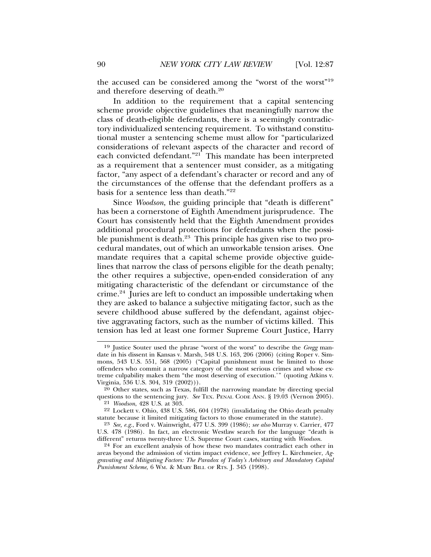the accused can be considered among the "worst of the worst"19 and therefore deserving of death.20

In addition to the requirement that a capital sentencing scheme provide objective guidelines that meaningfully narrow the class of death-eligible defendants, there is a seemingly contradictory individualized sentencing requirement. To withstand constitutional muster a sentencing scheme must allow for "particularized considerations of relevant aspects of the character and record of each convicted defendant."<sup>21</sup> This mandate has been interpreted as a requirement that a sentencer must consider, as a mitigating factor, "any aspect of a defendant's character or record and any of the circumstances of the offense that the defendant proffers as a basis for a sentence less than death."22

Since *Woodson*, the guiding principle that "death is different" has been a cornerstone of Eighth Amendment jurisprudence. The Court has consistently held that the Eighth Amendment provides additional procedural protections for defendants when the possible punishment is death.<sup>23</sup> This principle has given rise to two procedural mandates, out of which an unworkable tension arises. One mandate requires that a capital scheme provide objective guidelines that narrow the class of persons eligible for the death penalty; the other requires a subjective, open-ended consideration of any mitigating characteristic of the defendant or circumstance of the crime.24 Juries are left to conduct an impossible undertaking when they are asked to balance a subjective mitigating factor, such as the severe childhood abuse suffered by the defendant, against objective aggravating factors, such as the number of victims killed. This tension has led at least one former Supreme Court Justice, Harry

<sup>19</sup> Justice Souter used the phrase "worst of the worst" to describe the *Gregg* mandate in his dissent in Kansas v. Marsh, 548 U.S. 163, 206 (2006) (citing Roper v. Simmons, 543 U.S. 551, 568 (2005) ("Capital punishment must be limited to those offenders who commit a narrow category of the most serious crimes and whose extreme culpability makes them "the most deserving of execution.'" (quoting Atkins v. Virginia, 536 U.S. 304, 319 (2002))).

 $20$  Other states, such as Texas, fulfill the narrowing mandate by directing special questions to the sentencing jury. *See* TEX. PENAL CODE ANN. § 19.03 (Vernon 2005). 21 *Woodson*, 428 U.S. at 303.

<sup>22</sup> Lockett v. Ohio, 438 U.S. 586, 604 (1978) (invalidating the Ohio death penalty statute because it limited mitigating factors to those enumerated in the statute).

<sup>23</sup> *See, e.g.*, Ford v. Wainwright, 477 U.S. 399 (1986); *see also* Murray v. Carrier, 477 U.S. 478 (1986). In fact, an electronic Westlaw search for the language "death is different" returns twenty-three U.S. Supreme Court cases, starting with *Woodson*.

<sup>&</sup>lt;sup>24</sup> For an excellent analysis of how these two mandates contradict each other in areas beyond the admission of victim impact evidence, see Jeffrey L. Kirchmeier, *Aggravating and Mitigating Factors: The Paradox of Today's Arbitrary and Mandatory Capital Punishment Scheme*, 6 WM. & MARY BILL OF RTS. J. 345 (1998).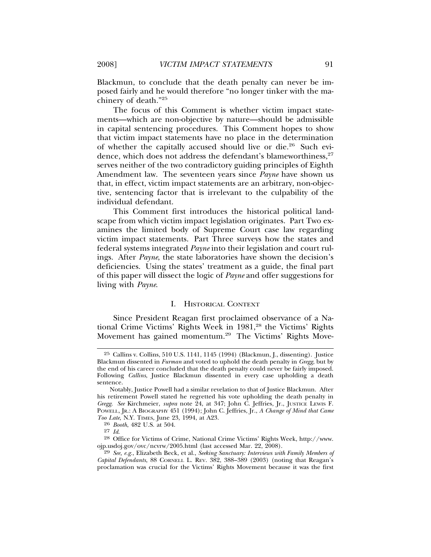Blackmun, to conclude that the death penalty can never be imposed fairly and he would therefore "no longer tinker with the machinery of death."25

The focus of this Comment is whether victim impact statements—which are non-objective by nature—should be admissible in capital sentencing procedures. This Comment hopes to show that victim impact statements have no place in the determination of whether the capitally accused should live or die.26 Such evidence, which does not address the defendant's blameworthiness,<sup>27</sup> serves neither of the two contradictory guiding principles of Eighth Amendment law. The seventeen years since *Payne* have shown us that, in effect, victim impact statements are an arbitrary, non-objective, sentencing factor that is irrelevant to the culpability of the individual defendant.

This Comment first introduces the historical political landscape from which victim impact legislation originates. Part Two examines the limited body of Supreme Court case law regarding victim impact statements. Part Three surveys how the states and federal systems integrated *Payne* into their legislation and court rulings. After *Payne*, the state laboratories have shown the decision's deficiencies. Using the states' treatment as a guide, the final part of this paper will dissect the logic of *Payne* and offer suggestions for living with *Payne*.

#### I. HISTORICAL CONTEXT

Since President Reagan first proclaimed observance of a National Crime Victims' Rights Week in 1981,<sup>28</sup> the Victims' Rights Movement has gained momentum.29 The Victims' Rights Move-

<sup>25</sup> Callins v. Collins, 510 U.S. 1141, 1145 (1994) (Blackmun, J., dissenting). Justice Blackmun dissented in *Furman* and voted to uphold the death penalty in *Gregg*, but by the end of his career concluded that the death penalty could never be fairly imposed. Following *Callins*, Justice Blackmun dissented in every case upholding a death sentence.

Notably, Justice Powell had a similar revelation to that of Justice Blackmun. After his retirement Powell stated he regretted his vote upholding the death penalty in *Gregg*. *See* Kirchmeier, *supra* note 24, at 347; John C. Jeffries, Jr., JUSTICE LEWIS F. POWELL, JR.: A BIOGRAPHY 451 (1994); John C. Jeffries, Jr., *A Change of Mind that Came Too Late*, N.Y. TIMES, June 23, 1994, at A23.

<sup>26</sup> *Booth*, 482 U.S. at 504.

<sup>&</sup>lt;sup>28</sup> Office for Victims of Crime, National Crime Victims' Rights Week, http://www. ojp.usdoj.gov/ovc/ncvrw/2005.html (last accessed Mar. 22, 2008).

<sup>29</sup> *See, e.g.*, Elizabeth Beck, et al., *Seeking Sanctuary: Interviews with Family Members of Capital Defendants*, 88 CORNELL L. REV. 382, 388–389 (2003) (noting that Reagan's proclamation was crucial for the Victims' Rights Movement because it was the first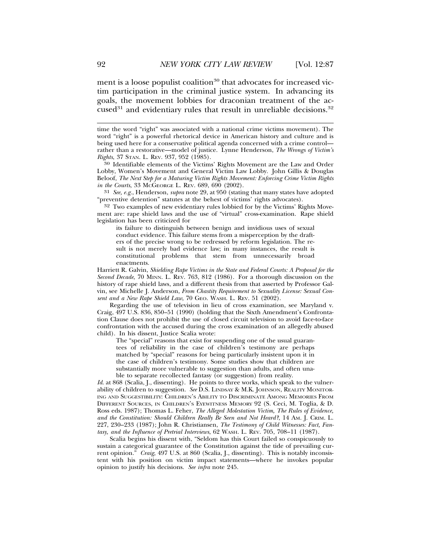ment is a loose populist coalition<sup>30</sup> that advocates for increased victim participation in the criminal justice system. In advancing its goals, the movement lobbies for draconian treatment of the accused<sup>31</sup> and evidentiary rules that result in unreliable decisions.<sup>32</sup>

31 *See, e.g.*, Henderson, *supra* note 29, at 950 (stating that many states have adopted "preventive detention" statutes at the behest of victims' rights advocates).

32 Two examples of new evidentiary rules lobbied for by the Victims' Rights Movement are: rape shield laws and the use of "virtual" cross-examination. Rape shield legislation has been criticized for

its failure to distinguish between benign and invidious uses of sexual conduct evidence. This failure stems from a misperception by the drafters of the precise wrong to be redressed by reform legislation. The result is not merely bad evidence law; in many instances, the result is constitutional problems that stem from unnecessarily broad enactments.

Harriett R. Galvin, *Shielding Rape Victims in the State and Federal Courts: A Proposal for the Second Decade*, 70 MINN. L. REV. 763, 812 (1986). For a thorough discussion on the history of rape shield laws, and a different thesis from that asserted by Professor Galvin, see Michelle J. Anderson, *From Chastity Requirement to Sexuality License: Sexual Consent and a New Rape Shield Law*, 70 GEO. WASH. L. REV. 51 (2002).

Regarding the use of television in lieu of cross examination, see Maryland v. Craig, 497 U.S. 836, 850–51 (1990) (holding that the Sixth Amendment's Confrontation Clause does not prohibit the use of closed circuit television to avoid face-to-face confrontation with the accused during the cross examination of an allegedly abused child). In his dissent, Justice Scalia wrote:

The "special" reasons that exist for suspending one of the usual guarantees of reliability in the case of children's testimony are perhaps matched by "special" reasons for being particularly insistent upon it in the case of children's testimony. Some studies show that children are substantially more vulnerable to suggestion than adults, and often unable to separate recollected fantasy (or suggestion) from reality.

Id. at 868 (Scalia, J., dissenting). He points to three works, which speak to the vulnerability of children to suggestion. *See* D.S. LINDSAY & M.K. JOHNSON, REALITY MONITOR-ING AND SUGGESTIBILITY: CHILDREN'S ABILITY TO DISCRIMINATE AMONG MEMORIES FROM DIFFERENT SOURCES, IN CHILDREN'S EYEWITNESS MEMORY 92 (S. Ceci, M. Toglia, & D. Ross eds. 1987); Thomas L. Feher, *The Alleged Molestation Victim, The Rules of Evidence, and the Constitution: Should Children Really Be Seen and Not Heard?*, 14 AM. J. CRIM. L. 227, 230–233 (1987); John R. Christiansen, *The Testimony of Child Witnesses: Fact, Fantasy, and the Influence of Pretrial Interviews*, 62 WASH. L. REV. 705, 708–11 (1987).

Scalia begins his dissent with, "Seldom has this Court failed so conspicuously to sustain a categorical guarantee of the Constitution against the tide of prevailing current opinion." *Craig*, 497 U.S. at 860 (Scalia, J., dissenting). This is notably inconsistent with his position on victim impact statements—where he invokes popular opinion to justify his decisions. *See infra* note 245.

time the word "right" was associated with a national crime victims movement). The word "right" is a powerful rhetorical device in American history and culture and is being used here for a conservative political agenda concerned with a crime control rather than a restorative—model of justice. Lynne Henderson, *The Wrongs of Victim's*

<sup>&</sup>lt;sup>30</sup> Identifiable elements of the Victims' Rights Movement are the Law and Order Lobby, Women's Movement and General Victim Law Lobby. John Gillis & Douglas Beloof, *The Next Step for a Maturing Victim Rights Movement: Enforcing Crime Victim Rights in the Courts*, 33 McGEORGE L. REV. 689, 690 (2002).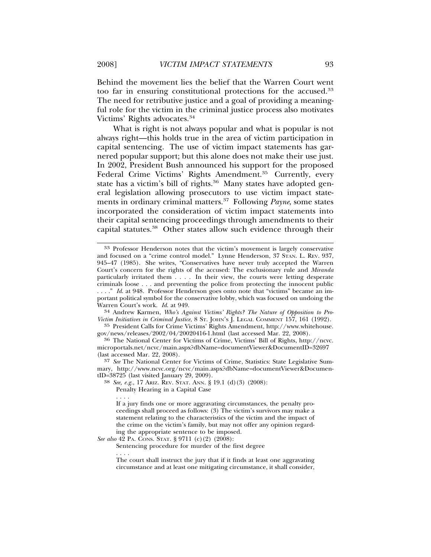Behind the movement lies the belief that the Warren Court went too far in ensuring constitutional protections for the accused.<sup>33</sup> The need for retributive justice and a goal of providing a meaningful role for the victim in the criminal justice process also motivates Victims' Rights advocates.<sup>34</sup>

What is right is not always popular and what is popular is not always right—this holds true in the area of victim participation in capital sentencing. The use of victim impact statements has garnered popular support; but this alone does not make their use just. In 2002, President Bush announced his support for the proposed Federal Crime Victims' Rights Amendment.<sup>35</sup> Currently, every state has a victim's bill of rights.<sup>36</sup> Many states have adopted general legislation allowing prosecutors to use victim impact statements in ordinary criminal matters.37 Following *Payne*, some states incorporated the consideration of victim impact statements into their capital sentencing proceedings through amendments to their capital statutes.38 Other states allow such evidence through their

<sup>34</sup> Andrew Karmen, *Who's Against Victims' Rights? The Nature of Opposition to Pro-Victim Initiatives in Criminal Justice*, 8 ST. JOHN'S J. LEGAL COMMENT 157, 161 (1992).

 $^{35}$  President Calls for Crime Victims' Rights Amendment, http://www.whitehouse.gov/news/releases/2002/04/20020416-1.html (last accessed Mar. 22, 2008).

<sup>36</sup> The National Center for Victims of Crime, Victims' Bill of Rights, http://ncvc. microportals.net/ncvc/main.aspx?dbName=documentViewer&DocumentID=32697 (last accessed Mar. 22, 2008).

37 *See* The National Center for Victims of Crime, Statistics: State Legislative Summary, http://www.ncvc.org/ncvc/main.aspx?dbName=documentViewer&DocumentID=38725 (last visited January 29, 2009).

38 *See, e.g.*, 17 ARIZ. REV. STAT. ANN. § 19.1 (d)(3) (2008):

Penalty Hearing in a Capital Case

*See also* 42 PA. CONS. STAT. § 9711 (c)(2) (2008):

Sentencing procedure for murder of the first degree

. . . . The court shall instruct the jury that if it finds at least one aggravating circumstance and at least one mitigating circumstance, it shall consider,

<sup>33</sup> Professor Henderson notes that the victim's movement is largely conservative and focused on a "crime control model." Lynne Henderson, 37 STAN. L. REV. 937, 945–47 (1985). She writes, "Conservatives have never truly accepted the Warren Court's concern for the rights of the accused: The exclusionary rule and *Miranda* particularly irritated them . . . . In their view, the courts were letting desperate criminals loose . . . and preventing the police from protecting the innocent public . . . ." *Id*. at 948. Professor Henderson goes onto note that "victims" became an important political symbol for the conservative lobby, which was focused on undoing the Warren Court's work. *Id.* at 949.

<sup>. . . .</sup> If a jury finds one or more aggravating circumstances, the penalty proceedings shall proceed as follows: (3) The victim's survivors may make a statement relating to the characteristics of the victim and the impact of the crime on the victim's family, but may not offer any opinion regarding the appropriate sentence to be imposed.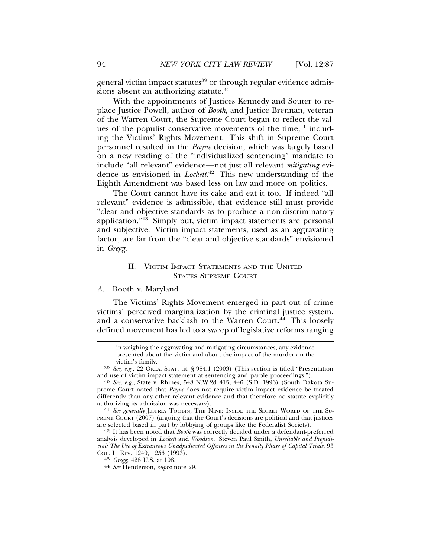general victim impact statutes<sup>39</sup> or through regular evidence admissions absent an authorizing statute.<sup>40</sup>

With the appointments of Justices Kennedy and Souter to replace Justice Powell, author of *Booth*, and Justice Brennan, veteran of the Warren Court, the Supreme Court began to reflect the values of the populist conservative movements of the time,<sup>41</sup> including the Victims' Rights Movement. This shift in Supreme Court personnel resulted in the *Payne* decision, which was largely based on a new reading of the "individualized sentencing" mandate to include "all relevant" evidence—not just all relevant *mitigating* evidence as envisioned in *Lockett*. 42 This new understanding of the Eighth Amendment was based less on law and more on politics.

The Court cannot have its cake and eat it too. If indeed "all relevant" evidence is admissible, that evidence still must provide "clear and objective standards as to produce a non-discriminatory application."43 Simply put, victim impact statements are personal and subjective. Victim impact statements, used as an aggravating factor, are far from the "clear and objective standards" envisioned in *Gregg*.

# II. VICTIM IMPACT STATEMENTS AND THE UNITED STATES SUPREME COURT

# *A.* Booth v. Maryland

The Victims' Rights Movement emerged in part out of crime victims' perceived marginalization by the criminal justice system, and a conservative backlash to the Warren Court.<sup>44</sup> This loosely defined movement has led to a sweep of legislative reforms ranging

in weighing the aggravating and mitigating circumstances, any evidence presented about the victim and about the impact of the murder on the

<sup>40</sup> See, e.g., State v. Rhines, 548 N.W.2d 415, 446 (S.D. 1996) (South Dakota Supreme Court noted that *Payne* does not require victim impact evidence be treated differently than any other relevant evidence and that therefore no statute explicitly authorizing its admission was necessary).<br><sup>41</sup> *See generally* JEFFREY TOOBIN, THE NINE: INSIDE THE SECRET WORLD OF THE SU-

PREME COURT (2007) (arguing that the Court's decisions are political and that justices are selected based in part by lobbying of groups like the Federalist Society).

42 It has been noted that *Booth* was correctly decided under a defendant-preferred analysis developed in *Lockett* and *Woodson*. Steven Paul Smith, *Unreliable and Prejudicial: The Use of Extraneous Unadjudicated Offenses in the Penalty Phase of Capital Trials*, 93

victim's family.<br><sup>39</sup> *See, e.g.*, 22 OKLA. STAT. tit. § 984.1 (2003) (This section is titled "Presentation and use of victim impact statement at sentencing and parole proceedings.").

COL. L. REV. 1249, 1256 (1993). <sup>43</sup> *Gregg*, 428 U.S. at 198. <sup>44</sup> *See* Henderson, *supra* note 29.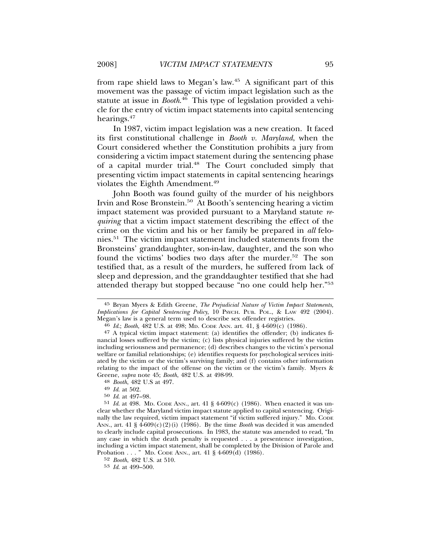from rape shield laws to Megan's law.45 A significant part of this movement was the passage of victim impact legislation such as the statute at issue in *Booth*. 46 This type of legislation provided a vehicle for the entry of victim impact statements into capital sentencing hearings.<sup>47</sup>

In 1987, victim impact legislation was a new creation. It faced its first constitutional challenge in *Booth v. Maryland*, when the Court considered whether the Constitution prohibits a jury from considering a victim impact statement during the sentencing phase of a capital murder trial.<sup>48</sup> The Court concluded simply that presenting victim impact statements in capital sentencing hearings violates the Eighth Amendment.49

John Booth was found guilty of the murder of his neighbors Irvin and Rose Bronstein.<sup>50</sup> At Booth's sentencing hearing a victim impact statement was provided pursuant to a Maryland statute *requiring* that a victim impact statement describing the effect of the crime on the victim and his or her family be prepared in *all* felonies.51 The victim impact statement included statements from the Bronsteins' granddaughter, son-in-law, daughter, and the son who found the victims' bodies two days after the murder.<sup>52</sup> The son testified that, as a result of the murders, he suffered from lack of sleep and depression, and the granddaughter testified that she had attended therapy but stopped because "no one could help her."53

<sup>45</sup> Bryan Myers & Edith Greene, *The Prejudicial Nature of Victim Impact Statements, Implications for Capital Sentencing Policy*, 10 PSYCH. PUB. POL., & LAW 492 (2004). Megan's law is a general term used to describe sex offender registries.

<sup>46</sup> Id.; *Booth*, 482 U.S. at 498; MD. CODE ANN. art. 41, § 4-609(c) (1986).

<sup>47</sup> A typical victim impact statement: (a) identifies the offender; (b) indicates financial losses suffered by the victim; (c) lists physical injuries suffered by the victim including seriousness and permanence; (d) describes changes to the victim's personal welfare or familial relationships; (e) identifies requests for psychological services initiated by the victim or the victim's surviving family; and (f) contains other information relating to the impact of the offense on the victim or the victim's family. Myers & Greene, *supra* note 45; *Booth*, 482 U.S. at 498-99. <sup>48</sup> *Booth*, 482 U.S at 497. <sup>49</sup> *Id*. at 502.

<sup>50</sup> *Id*. at 497–98.

<sup>51</sup> *Id*. at 498. MD. CODE ANN., art. 41 § 4-609(c) (1986). When enacted it was unclear whether the Maryland victim impact statute applied to capital sentencing. Originally the law required, victim impact statement "if victim suffered injury." MD. CODE ANN., art.  $41 \frac{8}{9}4-609(c)(2)(i)$  (1986). By the time *Booth* was decided it was amended to clearly include capital prosecutions. In 1983, the statute was amended to read, "In any case in which the death penalty is requested . . . a presentence investigation, including a victim impact statement, shall be completed by the Division of Parole and Probation . . . " MD. CODE ANN., art. 41 § 4-609(d) (1986).

<sup>52</sup> *Booth*, 482 U.S. at 510.

<sup>53</sup> *Id*. at 499–500.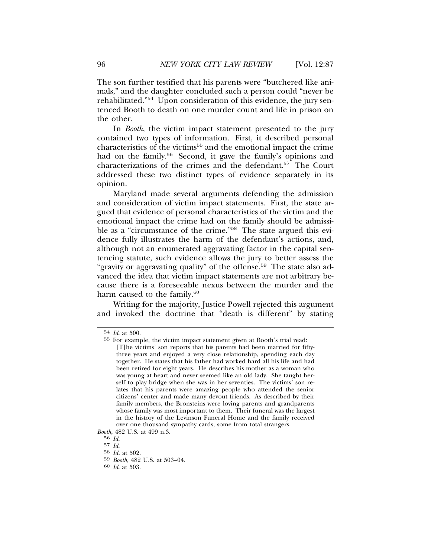The son further testified that his parents were "butchered like animals," and the daughter concluded such a person could "never be rehabilitated."54 Upon consideration of this evidence, the jury sentenced Booth to death on one murder count and life in prison on the other.

In *Booth*, the victim impact statement presented to the jury contained two types of information. First, it described personal characteristics of the victims<sup>55</sup> and the emotional impact the crime had on the family.<sup>56</sup> Second, it gave the family's opinions and characterizations of the crimes and the defendant.<sup>57</sup> The Court addressed these two distinct types of evidence separately in its opinion.

Maryland made several arguments defending the admission and consideration of victim impact statements. First, the state argued that evidence of personal characteristics of the victim and the emotional impact the crime had on the family should be admissible as a "circumstance of the crime."58 The state argued this evidence fully illustrates the harm of the defendant's actions, and, although not an enumerated aggravating factor in the capital sentencing statute, such evidence allows the jury to better assess the "gravity or aggravating quality" of the offense.<sup>59</sup> The state also advanced the idea that victim impact statements are not arbitrary because there is a foreseeable nexus between the murder and the harm caused to the family.<sup>60</sup>

Writing for the majority, Justice Powell rejected this argument and invoked the doctrine that "death is different" by stating

<sup>54</sup> *Id*. at 500.

<sup>55</sup> For example, the victim impact statement given at Booth's trial read: [T]he victims' son reports that his parents had been married for fiftythree years and enjoyed a very close relationship, spending each day together. He states that his father had worked hard all his life and had been retired for eight years. He describes his mother as a woman who was young at heart and never seemed like an old lady. She taught herself to play bridge when she was in her seventies. The victims' son relates that his parents were amazing people who attended the senior citizens' center and made many devout friends. As described by their family members, the Bronsteins were loving parents and grandparents whose family was most important to them. Their funeral was the largest in the history of the Levinson Funeral Home and the family received over one thousand sympathy cards, some from total strangers.

*Booth*, 482 U.S. at 499 n.3.<br><sup>56</sup> Id.

<sup>56</sup> *Id*. <sup>57</sup> *Id*. <sup>58</sup> *Id.* at 502.

<sup>59</sup> *Booth*, 482 U.S. at 503–04. <sup>60</sup> *Id*. at 503.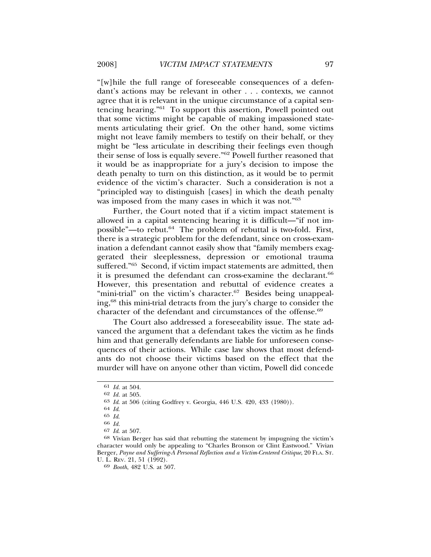"[w]hile the full range of foreseeable consequences of a defendant's actions may be relevant in other . . . contexts, we cannot agree that it is relevant in the unique circumstance of a capital sentencing hearing."61 To support this assertion, Powell pointed out that some victims might be capable of making impassioned statements articulating their grief. On the other hand, some victims might not leave family members to testify on their behalf, or they might be "less articulate in describing their feelings even though their sense of loss is equally severe."62 Powell further reasoned that it would be as inappropriate for a jury's decision to impose the death penalty to turn on this distinction, as it would be to permit evidence of the victim's character. Such a consideration is not a "principled way to distinguish [cases] in which the death penalty was imposed from the many cases in which it was not."63

Further, the Court noted that if a victim impact statement is allowed in a capital sentencing hearing it is difficult—"if not impossible"—to rebut.64 The problem of rebuttal is two-fold. First, there is a strategic problem for the defendant, since on cross-examination a defendant cannot easily show that "family members exaggerated their sleeplessness, depression or emotional trauma suffered."65 Second, if victim impact statements are admitted, then it is presumed the defendant can cross-examine the declarant.<sup>66</sup> However, this presentation and rebuttal of evidence creates a "mini-trial" on the victim's character.<sup>67</sup> Besides being unappealing,68 this mini-trial detracts from the jury's charge to consider the character of the defendant and circumstances of the offense.<sup>69</sup>

The Court also addressed a foreseeability issue. The state advanced the argument that a defendant takes the victim as he finds him and that generally defendants are liable for unforeseen consequences of their actions. While case law shows that most defendants do not choose their victims based on the effect that the murder will have on anyone other than victim, Powell did concede

<sup>61</sup> *Id.* at 504.

<sup>62</sup> *Id.* at 505.

<sup>63</sup> *Id*. at 506 (citing Godfrey v. Georgia, 446 U.S. 420, 433 (1980)).

<sup>64</sup> *Id*.

<sup>65</sup> *Id*.

<sup>66</sup> *Id.*

<sup>67</sup> *Id*. at 507.

<sup>68</sup> Vivian Berger has said that rebutting the statement by impugning the victim's character would only be appealing to "Charles Bronson or Clint Eastwood." Vivian Berger, *Payne and Suffering-A Personal Reflection and a Victim-Centered Critique*, 20 FLA. ST. U. L. REV. 21, 51 (1992).

<sup>69</sup> *Booth*, 482 U.S. at 507.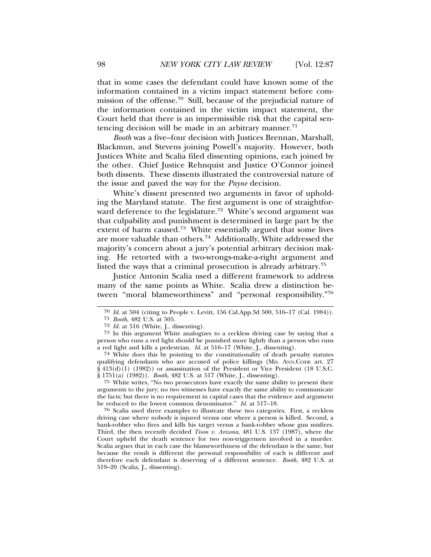that in some cases the defendant could have known some of the information contained in a victim impact statement before commission of the offense.70 Still, because of the prejudicial nature of the information contained in the victim impact statement, the Court held that there is an impermissible risk that the capital sentencing decision will be made in an arbitrary manner.<sup>71</sup>

*Booth* was a five–four decision with Justices Brennan, Marshall, Blackmun, and Stevens joining Powell's majority. However, both Justices White and Scalia filed dissenting opinions, each joined by the other. Chief Justice Rehnquist and Justice O'Connor joined both dissents. These dissents illustrated the controversial nature of the issue and paved the way for the *Payne* decision.

White's dissent presented two arguments in favor of upholding the Maryland statute. The first argument is one of straightforward deference to the legislature.<sup>72</sup> White's second argument was that culpability and punishment is determined in large part by the extent of harm caused.<sup>73</sup> White essentially argued that some lives are more valuable than others.74 Additionally, White addressed the majority's concern about a jury's potential arbitrary decision making. He retorted with a two-wrongs-make-a-right argument and listed the ways that a criminal prosecution is already arbitrary.75

Justice Antonin Scalia used a different framework to address many of the same points as White. Scalia drew a distinction between "moral blameworthiness" and "personal responsibility."76

74 White does this by pointing to the constitutionality of death penalty statutes qualifying defendants who are accused of police killings (MD. ANN.CODE art. 27 § 413(d)(1) (1982)) or assassination of the President or Vice President (18 U.S.C. § 1751(a) (1982)). *Booth*, 482 U.S. at 517 (White, J., dissenting).

75 White writes, "No two prosecutors have exactly the same ability to present their arguments to the jury; no two witnesses have exactly the same ability to communicate the facts; but there is no requirement in capital cases that the evidence and argument be reduced to the lowest common denominator." *Id*. at 517–18.

76 Scalia used three examples to illustrate these two categories. First, a reckless driving case where nobody is injured versus one where a person is killed. Second, a bank-robber who fires and kills his target versus a bank-robber whose gun misfires. Third, the then recently decided *Tison v. Arizona*, 481 U.S. 137 (1987), where the Court upheld the death sentence for two non-triggermen involved in a murder. Scalia argues that in each case the blameworthiness of the defendant is the same, but because the result is different the personal responsibility of each is different and therefore each defendant is deserving of a different sentence. *Booth*, 482 U.S. at 519–20 (Scalia, J., dissenting).

<sup>70</sup> *Id*. at 504 (citing to People v. Levitt, 156 Cal.App.3d 500, 516–17 (Cal. 1984)).

<sup>71</sup> *Booth*, 482 U.S. at 505.

<sup>72</sup> *Id*. at 516 (White, J., dissenting).

<sup>73</sup> In this argument White analogizes to a reckless driving case by saying that a person who runs a red light should be punished more lightly than a person who runs a red light and kills a pedestrian. *Id*. at 516–17 (White, J., dissenting).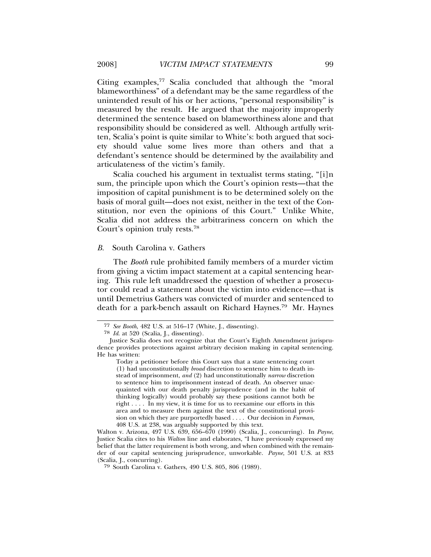Citing examples,<sup>77</sup> Scalia concluded that although the "moral" blameworthiness" of a defendant may be the same regardless of the unintended result of his or her actions, "personal responsibility" is measured by the result. He argued that the majority improperly determined the sentence based on blameworthiness alone and that responsibility should be considered as well. Although artfully written, Scalia's point is quite similar to White's: both argued that society should value some lives more than others and that a defendant's sentence should be determined by the availability and articulateness of the victim's family.

Scalia couched his argument in textualist terms stating, "[i]n sum, the principle upon which the Court's opinion rests—that the imposition of capital punishment is to be determined solely on the basis of moral guilt—does not exist, neither in the text of the Constitution, nor even the opinions of this Court." Unlike White, Scalia did not address the arbitrariness concern on which the Court's opinion truly rests.78

#### *B.* South Carolina v. Gathers

The *Booth* rule prohibited family members of a murder victim from giving a victim impact statement at a capital sentencing hearing. This rule left unaddressed the question of whether a prosecutor could read a statement about the victim into evidence—that is until Demetrius Gathers was convicted of murder and sentenced to death for a park-bench assault on Richard Haynes.<sup>79</sup> Mr. Haynes

<sup>77</sup> *See Booth*, 482 U.S. at 516–17 (White, J., dissenting).

<sup>78</sup> *Id*. at 520 (Scalia, J., dissenting).

Justice Scalia does not recognize that the Court's Eighth Amendment jurisprudence provides protections against arbitrary decision making in capital sentencing. He has written:

Today a petitioner before this Court says that a state sentencing court (1) had unconstitutionally *broad* discretion to sentence him to death instead of imprisonment, *and* (2) had unconstitutionally *narrow* discretion to sentence him to imprisonment instead of death. An observer unacquainted with our death penalty jurisprudence (and in the habit of thinking logically) would probably say these positions cannot both be right . . . . In my view, it is time for us to reexamine our efforts in this area and to measure them against the text of the constitutional provision on which they are purportedly based . . . . Our decision in *Furman,* 408 U.S. at 238, was arguably supported by this text.

Walton v. Arizona, 497 U.S. 639, 656–670 (1990) (Scalia, J., concurring). In *Payne*, Justice Scalia cites to his *Walton* line and elaborates, "I have previously expressed my belief that the latter requirement is both wrong, and when combined with the remainder of our capital sentencing jurisprudence, unworkable. *Payne*, 501 U.S. at 833 (Scalia, J., concurring).

<sup>79</sup> South Carolina v. Gathers, 490 U.S. 805, 806 (1989).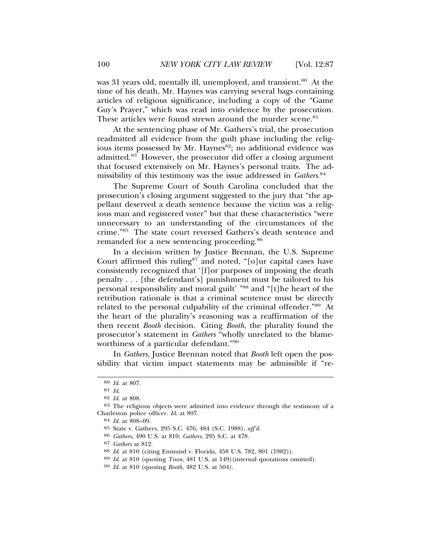was 31 years old, mentally ill, unemployed, and transient.<sup>80</sup> At the time of his death, Mr. Haynes was carrying several bags containing articles of religious significance, including a copy of the "Game Guy's Prayer," which was read into evidence by the prosecution. These articles were found strewn around the murder scene.<sup>81</sup>

At the sentencing phase of Mr. Gathers's trial, the prosecution readmitted all evidence from the guilt phase including the religious items possessed by Mr. Haynes<sup>82</sup>; no additional evidence was admitted.83 However, the prosecutor did offer a closing argument that focused extensively on Mr. Haynes's personal traits. The admissibility of this testimony was the issue addressed in *Gathers*. 84

The Supreme Court of South Carolina concluded that the prosecution's closing argument suggested to the jury that "the appellant deserved a death sentence because the victim was a religious man and registered voter" but that these characteristics "were unnecessary to an understanding of the circumstances of the crime."85 The state court reversed Gathers's death sentence and remanded for a new sentencing proceeding.<sup>86</sup>

In a decision written by Justice Brennan, the U.S. Supreme Court affirmed this ruling<sup>87</sup> and noted, "[o]ur capital cases have consistently recognized that '[f]or purposes of imposing the death penalty . . . [the defendant's] punishment must be tailored to his personal responsibility and moral guilt' "88 and "[t]he heart of the retribution rationale is that a criminal sentence must be directly related to the personal culpability of the criminal offender."89 At the heart of the plurality's reasoning was a reaffirmation of the then recent *Booth* decision. Citing *Booth*, the plurality found the prosecutor's statement in *Gathers* "wholly unrelated to the blameworthiness of a particular defendant."90

In *Gathers*, Justice Brennan noted that *Booth* left open the possibility that victim impact statements may be admissible if "re-

<sup>80</sup> *Id*. at 807.

<sup>81</sup> *Id*.

<sup>82</sup> *Id*. at 808.

<sup>83</sup> The religious objects were admitted into evidence through the testimony of a Charleston police officer. *Id*. at 807.

<sup>84</sup> *Id*. at 808–09.

<sup>85</sup> State v. Gathers, 295 S.C. 476, 484 (S.C. 1988), *aff'd*.

<sup>86</sup> *Gathers*, 490 U.S. at 810; *Gathers*, 295 S.C. at 478.

<sup>87</sup> *Gathers* at 812.

<sup>88</sup> *Id*. at 810 (citing Enmund v. Florida, 458 U.S. 782, 801 (1982)).

<sup>89</sup> *Id*. at 810 (quoting *Tison*, 481 U.S. at 149)(internal quotations omitted).

<sup>90</sup> *Id*. at 810 (quoting *Booth*, 482 U.S. at 504).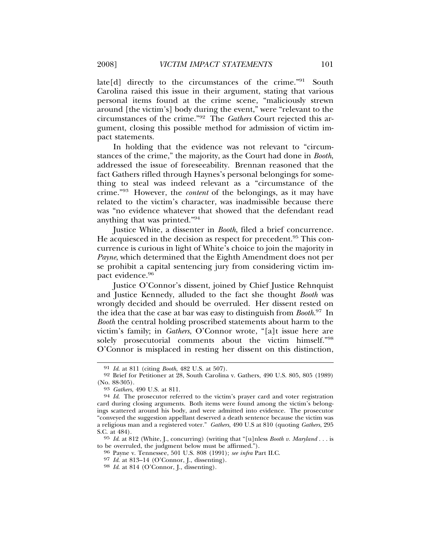late[d] directly to the circumstances of the crime."91 South Carolina raised this issue in their argument, stating that various personal items found at the crime scene, "maliciously strewn around [the victim's] body during the event," were "relevant to the circumstances of the crime."92 The *Gathers* Court rejected this argument, closing this possible method for admission of victim impact statements.

In holding that the evidence was not relevant to "circumstances of the crime," the majority, as the Court had done in *Booth*, addressed the issue of foreseeability. Brennan reasoned that the fact Gathers rifled through Haynes's personal belongings for something to steal was indeed relevant as a "circumstance of the crime."93 However, the *content* of the belongings, as it may have related to the victim's character, was inadmissible because there was "no evidence whatever that showed that the defendant read anything that was printed."94

Justice White, a dissenter in *Booth*, filed a brief concurrence. He acquiesced in the decision as respect for precedent.<sup>95</sup> This concurrence is curious in light of White's choice to join the majority in *Payne*, which determined that the Eighth Amendment does not per se prohibit a capital sentencing jury from considering victim impact evidence.<sup>96</sup>

Justice O'Connor's dissent, joined by Chief Justice Rehnquist and Justice Kennedy, alluded to the fact she thought *Booth* was wrongly decided and should be overruled. Her dissent rested on the idea that the case at bar was easy to distinguish from *Booth*. 97 In *Booth* the central holding proscribed statements about harm to the victim's family; in *Gathers*, O'Connor wrote, "[a]t issue here are solely prosecutorial comments about the victim himself."98 O'Connor is misplaced in resting her dissent on this distinction,

<sup>96</sup> Payne v. Tennessee, 501 U.S. 808 (1991); see infra Part II.C.

<sup>91</sup> *Id*. at 811 (citing *Booth*, 482 U.S. at 507).

 $92$  Brief for Petitioner at 28, South Carolina v. Gathers, 490 U.S. 805, 805 (1989) (No. 88-305).

<sup>(</sup>No. 88-305). <sup>93</sup> *Gathers*, 490 U.S. at 811. <sup>94</sup> *Id*. The prosecutor referred to the victim's prayer card and voter registration card during closing arguments. Both items were found among the victim's belongings scattered around his body, and were admitted into evidence. The prosecutor "conveyed the suggestion appellant deserved a death sentence because the victim was a religious man and a registered voter." *Gathers*, 490 U.S at 810 (quoting *Gathers*, 295 S.C. at 484).

<sup>&</sup>lt;sup>95</sup> *Id.* at 812 (White, J., concurring) (writing that "[u]nless *Booth v. Maryland* . . . is to be overruled, the judgment below must be affirmed.").

<sup>97</sup> *Id*. at 813–14 (O'Connor, J., dissenting). <sup>98</sup> *Id*. at 814 (O'Connor, J., dissenting).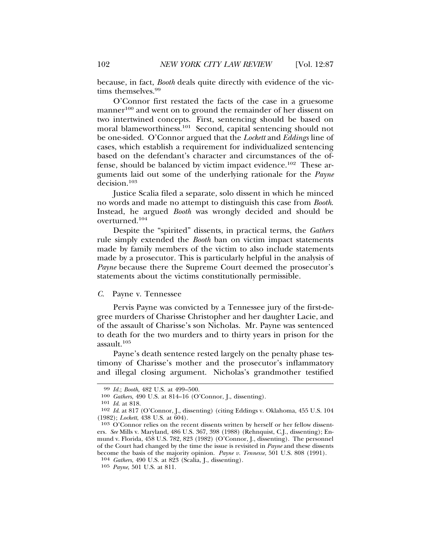because, in fact, *Booth* deals quite directly with evidence of the victims themselves.99

O'Connor first restated the facts of the case in a gruesome manner<sup>100</sup> and went on to ground the remainder of her dissent on two intertwined concepts. First, sentencing should be based on moral blameworthiness.<sup>101</sup> Second, capital sentencing should not be one-sided. O'Connor argued that the *Lockett* and *Eddings* line of cases, which establish a requirement for individualized sentencing based on the defendant's character and circumstances of the offense, should be balanced by victim impact evidence.102 These arguments laid out some of the underlying rationale for the *Payne* decision.<sup>103</sup>

Justice Scalia filed a separate, solo dissent in which he minced no words and made no attempt to distinguish this case from *Booth*. Instead, he argued *Booth* was wrongly decided and should be overturned.104

Despite the "spirited" dissents, in practical terms, the *Gathers* rule simply extended the *Booth* ban on victim impact statements made by family members of the victim to also include statements made by a prosecutor. This is particularly helpful in the analysis of *Payne* because there the Supreme Court deemed the prosecutor's statements about the victims constitutionally permissible.

# *C.* Payne v. Tennessee

Pervis Payne was convicted by a Tennessee jury of the first-degree murders of Charisse Christopher and her daughter Lacie, and of the assault of Charisse's son Nicholas. Mr. Payne was sentenced to death for the two murders and to thirty years in prison for the assault.105

Payne's death sentence rested largely on the penalty phase testimony of Charisse's mother and the prosecutor's inflammatory and illegal closing argument. Nicholas's grandmother testified

<sup>99</sup> *Id.*; *Booth*, 482 U.S. at 499–500.

<sup>100</sup> *Gathers*, 490 U.S. at 814–16 (O'Connor, J., dissenting).

<sup>101</sup> *Id*. at 818.

<sup>102</sup> *Id*. at 817 (O'Connor, J., dissenting) (citing Eddings v. Oklahoma, 455 U.S. 104 (1982); *Lockett*, 438 U.S. at 604).

<sup>103</sup> O'Connor relies on the recent dissents written by herself or her fellow dissenters. *See* Mills v. Maryland, 486 U.S. 367, 398 (1988) (Rehnquist, C.J., dissenting); Enmund v. Florida, 458 U.S. 782, 823 (1982) (O'Connor, J., dissenting). The personnel of the Court had changed by the time the issue is revisited in *Payne* and these dissents become the basis of the majority opinion. *Payne v. Tennesse*, 501 U.S. 808 (1991).

<sup>104</sup> *Gathers*, 490 U.S. at 823 (Scalia, J., dissenting).

<sup>105</sup> *Payne*, 501 U.S. at 811.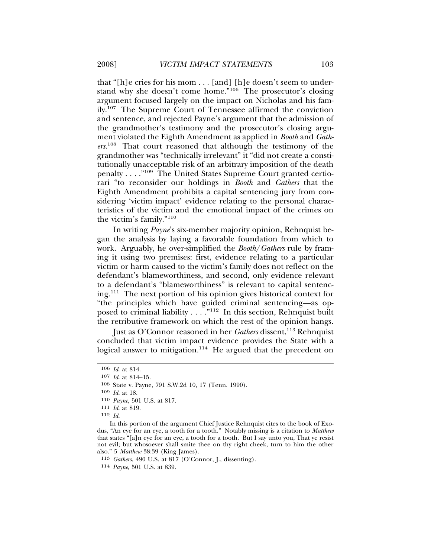that "[h]e cries for his mom . . . [and] [h]e doesn't seem to understand why she doesn't come home."106 The prosecutor's closing argument focused largely on the impact on Nicholas and his family.107 The Supreme Court of Tennessee affirmed the conviction and sentence, and rejected Payne's argument that the admission of the grandmother's testimony and the prosecutor's closing argument violated the Eighth Amendment as applied in *Booth* and *Gathers*. 108 That court reasoned that although the testimony of the grandmother was "technically irrelevant" it "did not create a constitutionally unacceptable risk of an arbitrary imposition of the death penalty . . . ."109 The United States Supreme Court granted certiorari "to reconsider our holdings in *Booth* and *Gathers* that the Eighth Amendment prohibits a capital sentencing jury from considering 'victim impact' evidence relating to the personal characteristics of the victim and the emotional impact of the crimes on the victim's family."<sup>110</sup>

In writing *Payne*'s six-member majority opinion, Rehnquist began the analysis by laying a favorable foundation from which to work. Arguably, he over-simplified the *Booth*/*Gathers* rule by framing it using two premises: first, evidence relating to a particular victim or harm caused to the victim's family does not reflect on the defendant's blameworthiness, and second, only evidence relevant to a defendant's "blameworthiness" is relevant to capital sentencing.111 The next portion of his opinion gives historical context for "the principles which have guided criminal sentencing—as opposed to criminal liability  $\ldots$ ."<sup>112</sup> In this section, Rehnquist built the retributive framework on which the rest of the opinion hangs.

Just as O'Connor reasoned in her *Gathers* dissent,<sup>113</sup> Rehnquist concluded that victim impact evidence provides the State with a logical answer to mitigation.<sup>114</sup> He argued that the precedent on

In this portion of the argument Chief Justice Rehnquist cites to the book of Exodus, "An eye for an eye, a tooth for a tooth." Notably missing is a citation to *Matthew* that states "[a]n eye for an eye, a tooth for a tooth. But I say unto you, That ye resist not evil; but whosoever shall smite thee on thy right cheek, turn to him the other also." 5 *Matthew* 38:39 (King James).

113 *Gathers*, 490 U.S. at 817 (O'Connor, J., dissenting).

<sup>106</sup> *Id*. at 814.

<sup>107</sup> *Id*. at 814–15.

<sup>108</sup> State v. Payne, 791 S.W.2d 10, 17 (Tenn. 1990).

<sup>109</sup> *Id*. at 18.

<sup>110</sup> *Payne*, 501 U.S. at 817.

<sup>111</sup> *Id*. at 819.

<sup>112</sup> *Id*.

<sup>114</sup> *Payne*, 501 U.S. at 839.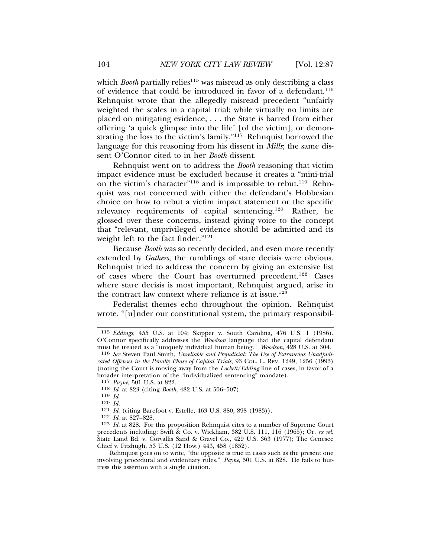which *Booth* partially relies<sup>115</sup> was misread as only describing a class of evidence that could be introduced in favor of a defendant.<sup>116</sup> Rehnquist wrote that the allegedly misread precedent "unfairly weighted the scales in a capital trial; while virtually no limits are placed on mitigating evidence, . . . the State is barred from either offering 'a quick glimpse into the life' [of the victim], or demonstrating the loss to the victim's family."117 Rehnquist borrowed the language for this reasoning from his dissent in *Mills*; the same dissent O'Connor cited to in her *Booth* dissent.

Rehnquist went on to address the *Booth* reasoning that victim impact evidence must be excluded because it creates a "mini-trial on the victim's character"<sup>118</sup> and is impossible to rebut.<sup>119</sup> Rehnquist was not concerned with either the defendant's Hobbesian choice on how to rebut a victim impact statement or the specific relevancy requirements of capital sentencing.120 Rather, he glossed over these concerns, instead giving voice to the concept that "relevant, unprivileged evidence should be admitted and its weight left to the fact finder."<sup>121</sup>

Because *Booth* was so recently decided, and even more recently extended by *Gathers*, the rumblings of stare decisis were obvious. Rehnquist tried to address the concern by giving an extensive list of cases where the Court has overturned precedent.<sup>122</sup> Cases where stare decisis is most important, Rehnquist argued, arise in the contract law context where reliance is at issue.<sup>123</sup>

Federalist themes echo throughout the opinion. Rehnquist wrote, "[u]nder our constitutional system, the primary responsibil-

Rehnquist goes on to write, "the opposite is true in cases such as the present one involving procedural and evidentiary rules." *Payne*, 501 U.S. at 828. He fails to buttress this assertion with a single citation.

<sup>115</sup> *Eddings*, 455 U.S. at 104; Skipper v. South Carolina, 476 U.S. 1 (1986). O'Connor specifically addresses the *Woodson* language that the capital defendant must be treated as a "uniquely individual human being." *Woodson*, 428 U.S. at 304.

<sup>116</sup> *See* Steven Paul Smith, *Unreliable and Prejudicial: The Use of Extraneous Unadjudicated Offenses in the Penalty Phase of Capital Trials*, 93 COL. L. REV. 1249, 1256 (1993) (noting the Court is moving away from the *Lockett*/*Edding* line of cases, in favor of a broader interpretation of the "individualized sentencing" mandate).

<sup>117</sup> *Payne*, 501 U.S. at 822.

<sup>118</sup> *Id*. at 823 (citing *Booth*, 482 U.S. at 506–507).

<sup>119</sup> *Id*. <sup>120</sup> *Id.*

<sup>121</sup> *Id*. (citing Barefoot v. Estelle, 463 U.S. 880, 898 (1983)).

<sup>122</sup> *Id*. at 827–828.

<sup>123</sup> *Id*. at 828. For this proposition Rehnquist cites to a number of Supreme Court precedents including: Swift & Co. v. Wickham, 382 U.S. 111, 116 (1965); Or. *ex rel.* State Land Bd. v. Corvallis Sand & Gravel Co., 429 U.S. 363 (1977); The Genesee Chief v. Fitzhugh, 53 U.S. (12 How.) 443, 458 (1852).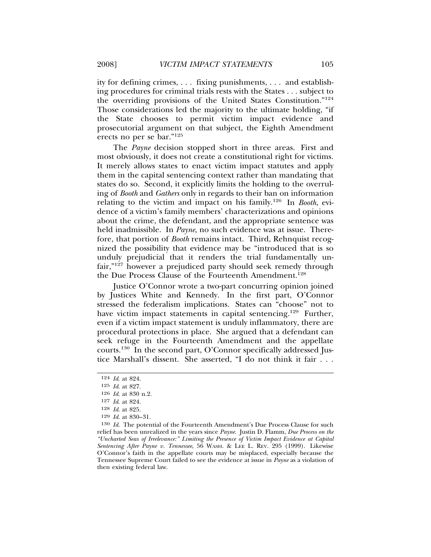ity for defining crimes, . . . fixing punishments, . . . and establishing procedures for criminal trials rests with the States . . . subject to the overriding provisions of the United States Constitution."124 Those considerations led the majority to the ultimate holding, "if the State chooses to permit victim impact evidence and prosecutorial argument on that subject, the Eighth Amendment erects no per se bar."125

The *Payne* decision stopped short in three areas. First and most obviously, it does not create a constitutional right for victims. It merely allows states to enact victim impact statutes and apply them in the capital sentencing context rather than mandating that states do so. Second, it explicitly limits the holding to the overruling of *Booth* and *Gathers* only in regards to their ban on information relating to the victim and impact on his family.126 In *Booth*, evidence of a victim's family members' characterizations and opinions about the crime, the defendant, and the appropriate sentence was held inadmissible. In *Payne*, no such evidence was at issue. Therefore, that portion of *Booth* remains intact. Third, Rehnquist recognized the possibility that evidence may be "introduced that is so unduly prejudicial that it renders the trial fundamentally unfair,"127 however a prejudiced party should seek remedy through the Due Process Clause of the Fourteenth Amendment.<sup>128</sup>

Justice O'Connor wrote a two-part concurring opinion joined by Justices White and Kennedy. In the first part, O'Connor stressed the federalism implications. States can "choose" not to have victim impact statements in capital sentencing.<sup>129</sup> Further, even if a victim impact statement is unduly inflammatory, there are procedural protections in place. She argued that a defendant can seek refuge in the Fourteenth Amendment and the appellate courts.130 In the second part, O'Connor specifically addressed Justice Marshall's dissent. She asserted, "I do not think it fair . . .

<sup>124</sup> *Id*. at 824.

<sup>125</sup> *Id*. at 827.

<sup>126</sup> *Id*. at 830 n.2.

<sup>127</sup> *Id*. at 824.

<sup>128</sup> *Id*. at 825.

<sup>129</sup> *Id*. at 830–31.

<sup>130</sup> *Id*. The potential of the Fourteenth Amendment's Due Process Clause for such relief has been unrealized in the years since *Payne*. Justin D. Flamm, *Due Process on the "Uncharted Seas of Irrelevance:" Limiting the Presence of Victim Impact Evidence at Capital Sentencing After Payne v. Tennessee*, 56 WASH. & LEE L. REV. 295 (1999). Likewise O'Connor's faith in the appellate courts may be misplaced, especially because the Tennessee Supreme Court failed to see the evidence at issue in *Payne* as a violation of then existing federal law.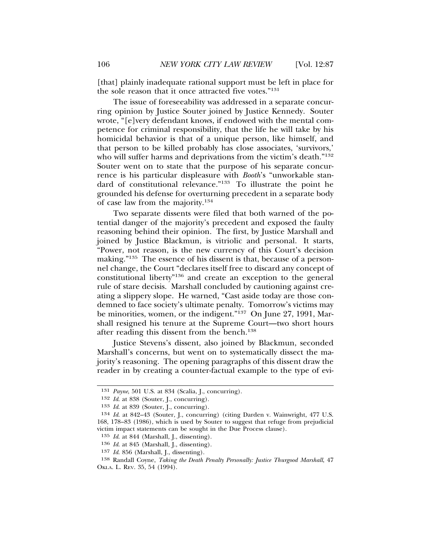[that] plainly inadequate rational support must be left in place for the sole reason that it once attracted five votes."131

The issue of foreseeability was addressed in a separate concurring opinion by Justice Souter joined by Justice Kennedy. Souter wrote, "[e]very defendant knows, if endowed with the mental competence for criminal responsibility, that the life he will take by his homicidal behavior is that of a unique person, like himself, and that person to be killed probably has close associates, 'survivors,' who will suffer harms and deprivations from the victim's death."<sup>132</sup> Souter went on to state that the purpose of his separate concurrence is his particular displeasure with *Booth*'s "unworkable standard of constitutional relevance."133 To illustrate the point he grounded his defense for overturning precedent in a separate body of case law from the majority.<sup>134</sup>

Two separate dissents were filed that both warned of the potential danger of the majority's precedent and exposed the faulty reasoning behind their opinion. The first, by Justice Marshall and joined by Justice Blackmun, is vitriolic and personal. It starts, "Power, not reason, is the new currency of this Court's decision making."135 The essence of his dissent is that, because of a personnel change, the Court "declares itself free to discard any concept of constitutional liberty"136 and create an exception to the general rule of stare decisis. Marshall concluded by cautioning against creating a slippery slope. He warned, "Cast aside today are those condemned to face society's ultimate penalty. Tomorrow's victims may be minorities, women, or the indigent."137 On June 27, 1991, Marshall resigned his tenure at the Supreme Court—two short hours after reading this dissent from the bench.<sup>138</sup>

Justice Stevens's dissent, also joined by Blackmun, seconded Marshall's concerns, but went on to systematically dissect the majority's reasoning. The opening paragraphs of this dissent draw the reader in by creating a counter-factual example to the type of evi-

<sup>131</sup> *Payne*, 501 U.S. at 834 (Scalia, J., concurring).

<sup>132</sup> *Id*. at 838 (Souter, J., concurring).

<sup>133</sup> *Id*. at 839 (Souter, J., concurring).

<sup>134</sup> *Id*. at 842–43 (Souter, J., concurring) (citing Darden v. Wainwright, 477 U.S. 168, 178–83 (1986), which is used by Souter to suggest that refuge from prejudicial victim impact statements can be sought in the Due Process clause).

<sup>135</sup> *Id*. at 844 (Marshall, J., dissenting).

<sup>136</sup> *Id*. at 845 (Marshall, J., dissenting).

<sup>137</sup> *Id*. 856 (Marshall, J., dissenting).

<sup>138</sup> Randall Coyne, *Taking the Death Penalty Personally: Justice Thurgood Marshall*, 47 OKLA. L. REV. 35, 54 (1994).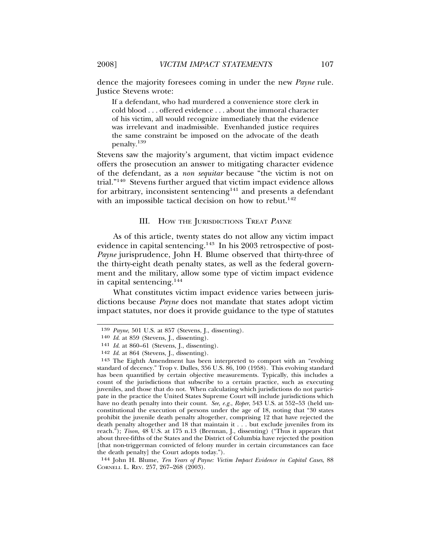dence the majority foresees coming in under the new *Payne* rule. Justice Stevens wrote:

If a defendant, who had murdered a convenience store clerk in cold blood . . . offered evidence . . . about the immoral character of his victim, all would recognize immediately that the evidence was irrelevant and inadmissible. Evenhanded justice requires the same constraint be imposed on the advocate of the death penalty.<sup>139</sup>

Stevens saw the majority's argument, that victim impact evidence offers the prosecution an answer to mitigating character evidence of the defendant, as a *non sequitar* because "the victim is not on trial."140 Stevens further argued that victim impact evidence allows for arbitrary, inconsistent sentencing $141$  and presents a defendant with an impossible tactical decision on how to rebut.<sup>142</sup>

### III. HOW THE JURISDICTIONS TREAT PAYNE

As of this article, twenty states do not allow any victim impact evidence in capital sentencing.143 In his 2003 retrospective of post-*Payne* jurisprudence, John H. Blume observed that thirty-three of the thirty-eight death penalty states, as well as the federal government and the military, allow some type of victim impact evidence in capital sentencing.144

What constitutes victim impact evidence varies between jurisdictions because *Payne* does not mandate that states adopt victim impact statutes, nor does it provide guidance to the type of statutes

<sup>139</sup> *Payne*, 501 U.S. at 857 (Stevens, J., dissenting).

<sup>140</sup> *Id*. at 859 (Stevens, J., dissenting).

<sup>141</sup> *Id*. at 860–61 (Stevens, J., dissenting).

<sup>142</sup> *Id*. at 864 (Stevens, J., dissenting).

<sup>143</sup> The Eighth Amendment has been interpreted to comport with an "evolving standard of decency." Trop v. Dulles, 356 U.S. 86, 100 (1958). This evolving standard has been quantified by certain objective measurements. Typically, this includes a count of the jurisdictions that subscribe to a certain practice, such as executing juveniles, and those that do not. When calculating which jurisdictions do not participate in the practice the United States Supreme Court will include jurisdictions which have no death penalty into their count. *See, e.g.*, *Roper*, 543 U.S. at 552–53 (held unconstitutional the execution of persons under the age of 18, noting that "30 states prohibit the juvenile death penalty altogether, comprising 12 that have rejected the death penalty altogether and 18 that maintain it . . . but exclude juveniles from its reach."); *Tison*, 48 U.S. at 175 n.13 (Brennan, J., dissenting) ("Thus it appears that about three-fifths of the States and the District of Columbia have rejected the position [that non-triggerman convicted of felony murder in certain circumstances can face the death penalty] the Court adopts today.").

<sup>144</sup> John H. Blume, *Ten Years of Payne: Victim Impact Evidence in Capital Cases*, 88 CORNELL L. REV. 257, 267–268 (2003).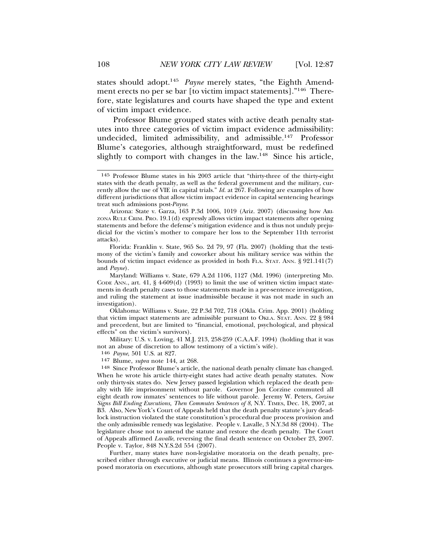states should adopt.145 *Payne* merely states, "the Eighth Amendment erects no per se bar [to victim impact statements]."146 Therefore, state legislatures and courts have shaped the type and extent of victim impact evidence.

Professor Blume grouped states with active death penalty statutes into three categories of victim impact evidence admissibility: undecided, limited admissibility, and admissible.147 Professor Blume's categories, although straightforward, must be redefined slightly to comport with changes in the law.<sup>148</sup> Since his article,

Oklahoma: Williams v. State, 22 P.3d 702, 718 (Okla. Crim. App. 2001) (holding that victim impact statements are admissible pursuant to OKLA. STAT. ANN. 22 § 984 and precedent, but are limited to "financial, emotional, psychological, and physical effects" on the victim's survivors).

Military: U.S. v. Loving, 41 M.J. 213, 258-259 (C.A.A.F. 1994) (holding that it was not an abuse of discretion to allow testimony of a victim's wife).

146 *Payne*, 501 U.S. at 827.

147 Blume, *supra* note 144, at 268.

148 Since Professor Blume's article, the national death penalty climate has changed. When he wrote his article thirty-eight states had active death penalty statutes. Now only thirty-six states do. New Jersey passed legislation which replaced the death penalty with life imprisonment without parole. Governor Jon Corzine commuted all eight death row inmates' sentences to life without parole. Jeremy W. Peters, *Corzine Signs Bill Ending Executions, Then Commutes Sentences of 8*, N.Y. TIMES, Dec. 18, 2007, at B3. Also, New York's Court of Appeals held that the death penalty statute's jury deadlock instruction violated the state constitution's procedural due process provision and the only admissible remedy was legislative. People v. Lavalle, 3 N.Y.3d 88 (2004). The legislature chose not to amend the statute and restore the death penalty. The Court of Appeals affirmed *Lavalle*, reversing the final death sentence on October 23, 2007. People v. Taylor, 848 N.Y.S.2d 554 (2007).

Further, many states have non-legislative moratoria on the death penalty, prescribed either through executive or judicial means. Illinois continues a governor-imposed moratoria on executions, although state prosecutors still bring capital charges.

<sup>145</sup> Professor Blume states in his 2003 article that "thirty-three of the thirty-eight states with the death penalty, as well as the federal government and the military, currently allow the use of VIE in capital trials." *Id.* at 267. Following are examples of how different jurisdictions that allow victim impact evidence in capital sentencing hearings treat such admissions post-*Payne*.

Arizona: State v. Garza, 163 P.3d 1006, 1019 (Ariz. 2007) (discussing how ARI- $ZONA$  RULE CRIM. PRO. 19.1 $(d)$  expressly allows victim impact statements after opening statements and before the defense's mitigation evidence and is thus not unduly prejudicial for the victim's mother to compare her loss to the September 11th terrorist attacks).

Florida: Franklin v. State, 965 So. 2d 79, 97 (Fla. 2007) (holding that the testimony of the victim's family and coworker about his military service was within the bounds of victim impact evidence as provided in both FLA. STAT. ANN. § 921.141(7) and *Payne*).

Maryland: Williams v. State, 679 A.2d 1106, 1127 (Md. 1996) (interpreting MD. CODE ANN., art.  $41, \, \frac{6}{9}$  4-609(d) (1993) to limit the use of written victim impact statements in death penalty cases to those statements made in a pre-sentence investigation, and ruling the statement at issue inadmissible because it was not made in such an investigation).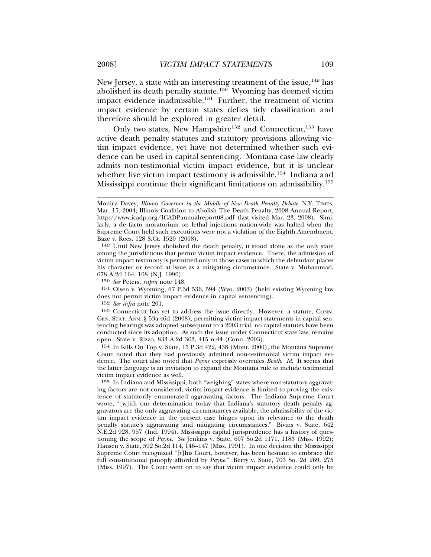New Jersey, a state with an interesting treatment of the issue,<sup>149</sup> has abolished its death penalty statute.<sup>150</sup> Wyoming has deemed victim impact evidence inadmissible.151 Further, the treatment of victim impact evidence by certain states defies tidy classification and therefore should be explored in greater detail.

Only two states, New Hampshire<sup>152</sup> and Connecticut,<sup>153</sup> have active death penalty statutes and statutory provisions allowing victim impact evidence, yet have not determined whether such evidence can be used in capital sentencing. Montana case law clearly admits non-testimonial victim impact evidence, but it is unclear whether live victim impact testimony is admissible.<sup>154</sup> Indiana and Mississippi continue their significant limitations on admissibility.<sup>155</sup>

149 Until New Jersey abolished the death penalty, it stood alone as the only state among the jurisdictions that permit victim impact evidence. There, the admission of victim impact testimony is permitted only in those cases in which the defendant places his character or record at issue as a mitigating circumstance. State v. Muhammad, 678 A.2d 164, 168 (N.J. 1996).

151 Olsen v. Wyoming, 67 P.3d 536, 594 (Wyo. 2003) (held existing Wyoming law does not permit victim impact evidence in capital sentencing).

152 *See infra* note 201.

154 In Kills On Top v. State, 15 P.3d 422, 438 (Mont. 2000), the Montana Supreme Court noted that they had previously admitted non-testimonial victim impact evidence. The court also noted that *Payne* expressly overrules *Booth*. *Id*. It seems that the latter language is an invitation to expand the Montana rule to include testimonial victim impact evidence as well.

155 In Indiana and Mississippi, both "weighing" states where non-statutory aggravating factors are not considered, victim impact evidence is limited to proving the existence of statutorily enumerated aggravating factors. The Indiana Supreme Court wrote, "[w]ith our determination today that Indiana's statutory death penalty aggravators are the only aggravating circumstances available, the admissibility of the victim impact evidence in the present case hinges upon its relevance to the death penalty statute's aggravating and mitigating circumstances." Bivins v. State, 642 N.E.2d 928, 957 (Ind. 1994). Mississippi capital jurisprudence has a history of questioning the scope of *Payne*. *See* Jenkins v. State, 607 So.2d 1171, 1183 (Miss. 1992); Hansen v. State, 592 So.2d 114, 146–147 (Miss. 1991). In one decision the Mississippi Supreme Court recognized "[t]his Court, however, has been hesitant to embrace the full constitutional panoply afforded by *Payne.*" Berry v. State, 703 So. 2d 269, 275 (Miss. 1997). The Court went on to say that victim impact evidence could only be

Monica Davey, *Illinois Governor in the Middle of New Death Penalty Debate*, N.Y. TIMES, Mar. 15, 2004; Illinois Coalition to Abolish The Death Penalty, 2008 Annual Report, http://www.icadp.org/ICADPannualreport08.pdf (last visited Mar. 23, 2008). Similarly, a de facto moratorium on lethal injections nation-wide was halted when the Supreme Court held such executions were not a violation of the Eighth Amendment. Baze v. Rees, 128 S.Ct. 1520 (2008).

<sup>150</sup> *See* Peters, *supra* note 148.

<sup>153</sup> Connecticut has yet to address the issue directly. However, a statute, CONN. GEN. STAT. ANN. § 53a-46d (2008), permitting victim impact statements in capital sentencing hearings was adopted subsequent to a 2003 trial, no capital statutes have been conducted since its adoption. As such the issue under Connecticut state law, remains open. State v. Rizzo, 833 A.2d 363, 415 n.44 (Conn. 2003).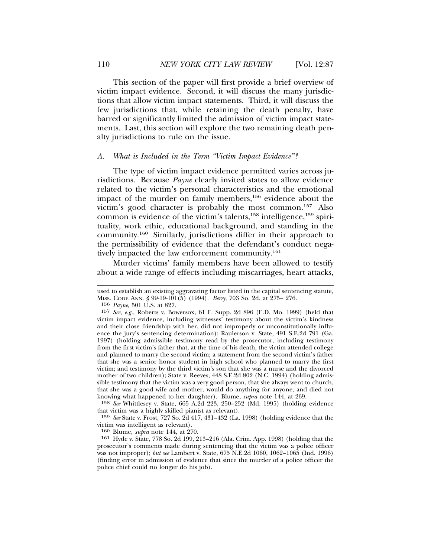This section of the paper will first provide a brief overview of victim impact evidence. Second, it will discuss the many jurisdictions that allow victim impact statements. Third, it will discuss the few jurisdictions that, while retaining the death penalty, have barred or significantly limited the admission of victim impact statements. Last, this section will explore the two remaining death penalty jurisdictions to rule on the issue.

#### *A. What is Included in the Term "Victim Impact Evidence"?*

The type of victim impact evidence permitted varies across jurisdictions. Because *Payne* clearly invited states to allow evidence related to the victim's personal characteristics and the emotional impact of the murder on family members,<sup>156</sup> evidence about the victim's good character is probably the most common.157 Also common is evidence of the victim's talents,<sup>158</sup> intelligence,<sup>159</sup> spirituality, work ethic, educational background, and standing in the community.160 Similarly, jurisdictions differ in their approach to the permissibility of evidence that the defendant's conduct negatively impacted the law enforcement community.<sup>161</sup>

Murder victims' family members have been allowed to testify about a wide range of effects including miscarriages, heart attacks,

156 *Payne*, 501 U.S. at 827.

158 *See* Whittlesey v. State, 665 A.2d 223, 250–252 (Md. 1995) (holding evidence that victim was a highly skilled pianist as relevant).

159 *See* State v. Frost, 727 So. 2d 417, 431–432 (La. 1998) (holding evidence that the victim was intelligent as relevant).

160 Blume, *supra* note 144, at 270.

161 Hyde v. State, 778 So. 2d 199, 213–216 (Ala. Crim. App. 1998) (holding that the prosecutor's comments made during sentencing that the victim was a police officer was not improper); *but see* Lambert v. State, 675 N.E.2d 1060, 1062–1065 (Ind. 1996) (finding error in admission of evidence that since the murder of a police officer the police chief could no longer do his job).

used to establish an existing aggravating factor listed in the capital sentencing statute, MISS. CODE ANN. § 99-19-101(5) (1994). *Berry*, 703 So. 2d. at 275– 276.

<sup>157</sup> *See, e.g.*, Roberts v. Bowersox, 61 F. Supp. 2d 896 (E.D. Mo. 1999) (held that victim impact evidence, including witnesses' testimony about the victim's kindness and their close friendship with her, did not improperly or unconstitutionally influence the jury's sentencing determination); Raulerson v. State, 491 S.E.2d 791 (Ga. 1997) (holding admissible testimony read by the prosecutor, including testimony from the first victim's father that, at the time of his death, the victim attended college and planned to marry the second victim; a statement from the second victim's father that she was a senior honor student in high school who planned to marry the first victim; and testimony by the third victim's son that she was a nurse and the divorced mother of two children); State v. Reeves, 448 S.E.2d 802 (N.C. 1994) (holding admissible testimony that the victim was a very good person, that she always went to church, that she was a good wife and mother, would do anything for anyone, and died not knowing what happened to her daughter). Blume, *supra* note 144, at 269.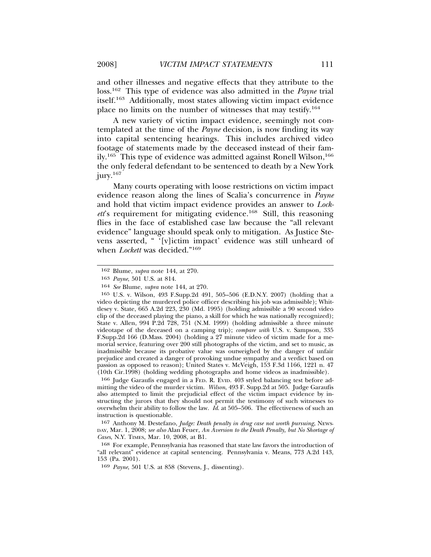and other illnesses and negative effects that they attribute to the loss.162 This type of evidence was also admitted in the *Payne* trial itself.163 Additionally, most states allowing victim impact evidence place no limits on the number of witnesses that may testify.164

A new variety of victim impact evidence, seemingly not contemplated at the time of the *Payne* decision, is now finding its way into capital sentencing hearings. This includes archived video footage of statements made by the deceased instead of their family.<sup>165</sup> This type of evidence was admitted against Ronell Wilson,<sup>166</sup> the only federal defendant to be sentenced to death by a New York jury.<sup>167</sup>

Many courts operating with loose restrictions on victim impact evidence reason along the lines of Scalia's concurrence in *Payne* and hold that victim impact evidence provides an answer to *Lockett*'s requirement for mitigating evidence.168 Still, this reasoning flies in the face of established case law because the "all relevant evidence" language should speak only to mitigation. As Justice Stevens asserted, " '[v]ictim impact' evidence was still unheard of when *Lockett* was decided."<sup>169</sup>

166 Judge Garaufis engaged in a FED. R. EVID. 403 styled balancing test before admitting the video of the murder victim. *Wilson*, 493 F. Supp.2d at 505. Judge Garaufis also attempted to limit the prejudicial effect of the victim impact evidence by instructing the jurors that they should not permit the testimony of such witnesses to overwhelm their ability to follow the law. *Id*. at 505–506. The effectiveness of such an instruction is questionable.

167 Anthony M. Destefano, *Judge: Death penalty in drug case not worth pursuing*, NEWS-DAY, Mar. 1, 2008; *see also* Alan Feuer, *An Aversion to the Death Penalty, but No Shortage of Cases*, N.Y. TIMES, Mar. 10, 2008, at B1.

168 For example, Pennsylvania has reasoned that state law favors the introduction of "all relevant" evidence at capital sentencing. Pennsylvania v. Means, 773 A.2d 143, 153 (Pa. 2001).

169 *Payne*, 501 U.S. at 858 (Stevens, J., dissenting).

<sup>162</sup> Blume, *supra* note 144, at 270.

<sup>163</sup> *Payne*, 501 U.S. at 814.

<sup>164</sup> *See* Blume, *supra* note 144, at 270.

<sup>165</sup> U.S. v. Wilson, 493 F.Supp.2d 491, 505–506 (E.D.N.Y. 2007) (holding that a video depicting the murdered police officer describing his job was admissible); Whittlesey v. State, 665 A.2d 223, 230 (Md. 1995) (holding admissible a 90 second video clip of the deceased playing the piano, a skill for which he was nationally recognized); State v. Allen, 994 P.2d 728, 751 (N.M. 1999) (holding admissible a three minute videotape of the deceased on a camping trip); *compare with* U.S. v. Sampson, 335 F.Supp.2d 166 (D.Mass. 2004) (holding a 27 minute video of victim made for a memorial service, featuring over 200 still photographs of the victim, and set to music, as inadmissible because its probative value was outweighed by the danger of unfair prejudice and created a danger of provoking undue sympathy and a verdict based on passion as opposed to reason); United States v. McVeigh, 153 F.3d 1166, 1221 n. 47 (10th Cir.1998) (holding wedding photographs and home videos as inadmissible).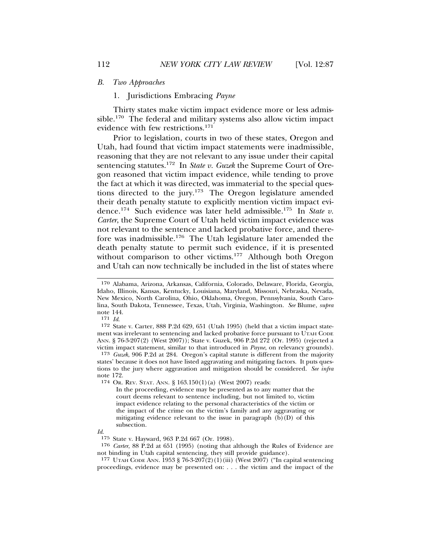#### *B. Two Approaches*

## 1. Jurisdictions Embracing *Payne*

Thirty states make victim impact evidence more or less admissible.170 The federal and military systems also allow victim impact evidence with few restrictions.171

Prior to legislation, courts in two of these states, Oregon and Utah, had found that victim impact statements were inadmissible, reasoning that they are not relevant to any issue under their capital sentencing statutes.172 In *State v. Guzek* the Supreme Court of Oregon reasoned that victim impact evidence, while tending to prove the fact at which it was directed, was immaterial to the special questions directed to the jury.173 The Oregon legislature amended their death penalty statute to explicitly mention victim impact evidence.174 Such evidence was later held admissible.175 In *State v. Carter*, the Supreme Court of Utah held victim impact evidence was not relevant to the sentence and lacked probative force, and therefore was inadmissible.176 The Utah legislature later amended the death penalty statute to permit such evidence, if it is presented without comparison to other victims.<sup>177</sup> Although both Oregon and Utah can now technically be included in the list of states where

*Id*.

<sup>170</sup> Alabama, Arizona, Arkansas, California, Colorado, Delaware, Florida, Georgia, Idaho, Illinois, Kansas, Kentucky, Louisiana, Maryland, Missouri, Nebraska, Nevada, New Mexico, North Carolina, Ohio, Oklahoma, Oregon, Pennsylvania, South Carolina, South Dakota, Tennessee, Texas, Utah, Virginia, Washington. *See* Blume, *supra* note 144.<br>171  $Id$ .

<sup>&</sup>lt;sup>172</sup> State v. Carter, 888 P.2d 629, 651 (Utah 1995) (held that a victim impact statement was irrelevant to sentencing and lacked probative force pursuant to UTAH CODE ANN. § 76-3-207(2) (West 2007)); State v. Guzek, 906 P.2d 272 (Or. 1995) (rejected a victim impact statement, similar to that introduced in *Payne*, on relevancy grounds).

<sup>173</sup> *Guzek*, 906 P.2d at 284. Oregon's capital statute is different from the majority states' because it does not have listed aggravating and mitigating factors. It puts questions to the jury where aggravation and mitigation should be considered. *See infra* note 172.

<sup>174</sup> OR. REV. STAT. ANN. § 163.150(1)(a) (West 2007) reads:

In the proceeding, evidence may be presented as to any matter that the court deems relevant to sentence including, but not limited to, victim impact evidence relating to the personal characteristics of the victim or the impact of the crime on the victim's family and any aggravating or mitigating evidence relevant to the issue in paragraph  $(b)(D)$  of this subsection.

<sup>175</sup> State v. Hayward, 963 P.2d 667 (Or. 1998).

<sup>176</sup> *Carter*, 88 P.2d at 651 (1995) (noting that although the Rules of Evidence are not binding in Utah capital sentencing, they still provide guidance).

<sup>177</sup> UTAH CODE ANN. 1953 § 76-3-207(2)(1)(iii) (West 2007) ("In capital sentencing proceedings, evidence may be presented on: . . . the victim and the impact of the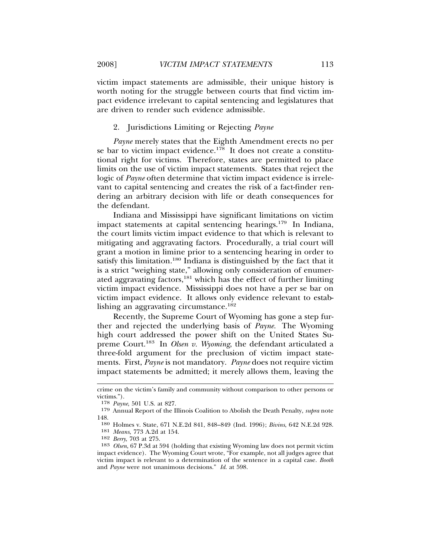victim impact statements are admissible, their unique history is worth noting for the struggle between courts that find victim impact evidence irrelevant to capital sentencing and legislatures that are driven to render such evidence admissible.

## 2. Jurisdictions Limiting or Rejecting *Payne*

*Payne* merely states that the Eighth Amendment erects no per se bar to victim impact evidence.<sup>178</sup> It does not create a constitutional right for victims. Therefore, states are permitted to place limits on the use of victim impact statements. States that reject the logic of *Payne* often determine that victim impact evidence is irrelevant to capital sentencing and creates the risk of a fact-finder rendering an arbitrary decision with life or death consequences for the defendant.

Indiana and Mississippi have significant limitations on victim impact statements at capital sentencing hearings.<sup>179</sup> In Indiana, the court limits victim impact evidence to that which is relevant to mitigating and aggravating factors. Procedurally, a trial court will grant a motion in limine prior to a sentencing hearing in order to satisfy this limitation.<sup>180</sup> Indiana is distinguished by the fact that it is a strict "weighing state," allowing only consideration of enumerated aggravating factors, $^{181}$  which has the effect of further limiting victim impact evidence. Mississippi does not have a per se bar on victim impact evidence. It allows only evidence relevant to establishing an aggravating circumstance.<sup>182</sup>

Recently, the Supreme Court of Wyoming has gone a step further and rejected the underlying basis of *Payne.* The Wyoming high court addressed the power shift on the United States Supreme Court.183 In *Olsen v. Wyoming*, the defendant articulated a three-fold argument for the preclusion of victim impact statements. First, *Payne* is not mandatory. *Payne* does not require victim impact statements be admitted; it merely allows them, leaving the

crime on the victim's family and community without comparison to other persons or victims.").

<sup>178</sup> *Payne*, 501 U.S. at 827.

<sup>179</sup> Annual Report of the Illinois Coalition to Abolish the Death Penalty, *supra* note 148.

<sup>180</sup> Holmes v. State, 671 N.E.2d 841, 848–849 (Ind. 1996); *Bivins*, 642 N.E.2d 928.

<sup>181</sup> *Means*, 773 A.2d at 154.

<sup>182</sup> *Berry*, 703 at 275.

<sup>183</sup> *Olsen*, 67 P.3d at 594 (holding that existing Wyoming law does not permit victim impact evidence). The Wyoming Court wrote, "For example, not all judges agree that victim impact is relevant to a determination of the sentence in a capital case. *Booth* and *Payne* were not unanimous decisions." *Id*. at 598.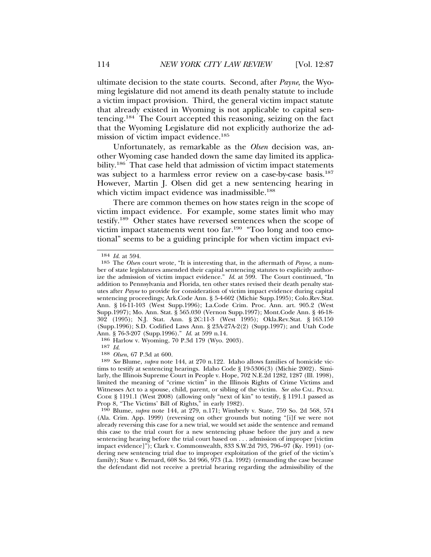ultimate decision to the state courts. Second, after *Payne*, the Wyoming legislature did not amend its death penalty statute to include a victim impact provision. Third, the general victim impact statute that already existed in Wyoming is not applicable to capital sentencing.184 The Court accepted this reasoning, seizing on the fact that the Wyoming Legislature did not explicitly authorize the admission of victim impact evidence.<sup>185</sup>

Unfortunately, as remarkable as the *Olsen* decision was, another Wyoming case handed down the same day limited its applicability.<sup>186</sup> That case held that admission of victim impact statements was subject to a harmless error review on a case-by-case basis.<sup>187</sup> However, Martin J. Olsen did get a new sentencing hearing in which victim impact evidence was inadmissible.<sup>188</sup>

There are common themes on how states reign in the scope of victim impact evidence. For example, some states limit who may testify.189 Other states have reversed sentences when the scope of victim impact statements went too far.190 "Too long and too emotional" seems to be a guiding principle for when victim impact evi-

186 Harlow v. Wyoming, 70 P.3d 179 (Wyo. 2003).

<sup>184</sup> *Id*. at 594.

<sup>185</sup> The *Olsen* court wrote, "It is interesting that, in the aftermath of *Payne,* a number of state legislatures amended their capital sentencing statutes to explicitly authorize the admission of victim impact evidence." *Id*. at 599. The Court continued, "In addition to Pennsylvania and Florida, ten other states revised their death penalty statutes after *Payne* to provide for consideration of victim impact evidence during capital sentencing proceedings; Ark.Code Ann. § 5-4-602 (Michie Supp.1995); Colo.Rev.Stat. Ann. § 16-11-103 (West Supp.1996); La.Code Crim. Proc. Ann. art. 905.2 (West Supp.1997); Mo. Ann. Stat. § 565.030 (Vernon Supp.1997); Mont.Code Ann. § 46-18- 302 (1995); N.J. Stat. Ann. § 2C:11-3 (West 1995); Okla.Rev.Stat. § 163.150 (Supp.1996); S.D. Codified Laws Ann. § 23A-27A-2(2) (Supp.1997); and Utah Code Ann. § 76-3-207 (Supp.1996)." *Id*. at 599 n.14.

<sup>187</sup> *Id*. <sup>188</sup> *Olsen*, 67 P.3d at 600.

<sup>189</sup> *See* Blume, *supra* note 144, at 270 n.122. Idaho allows families of homicide victims to testify at sentencing hearings. Idaho Code § 19-5306(3) (Michie 2002). Similarly, the Illinois Supreme Court in People v. Hope, 702 N.E.2d 1282, 1287 (Ill. 1998), limited the meaning of "crime victim" in the Illinois Rights of Crime Victims and Witnesses Act to a spouse, child, parent, or sibling of the victim. *See also* CAL. PENAL CODE § 1191.1 (West 2008) (allowing only "next of kin" to testify, § 1191.1 passed as Prop 8, "The Victims' Bill of Rights," in early 1982).

<sup>190</sup> Blume, *supra* note 144, at 279, n.171; Wimberly v. State, 759 So. 2d 568, 574 (Ala. Crim. App. 1999) (reversing on other grounds but noting "[i]f we were not already reversing this case for a new trial, we would set aside the sentence and remand this case to the trial court for a new sentencing phase before the jury and a new sentencing hearing before the trial court based on . . . admission of improper [victim impact evidence]"); Clark v. Commonwealth, 833 S.W.2d 793, 796–97 (Ky. 1991) (ordering new sentencing trial due to improper exploitation of the grief of the victim's family); State v. Bernard, 608 So. 2d 966, 973 (La. 1992) (remanding the case because the defendant did not receive a pretrial hearing regarding the admissibility of the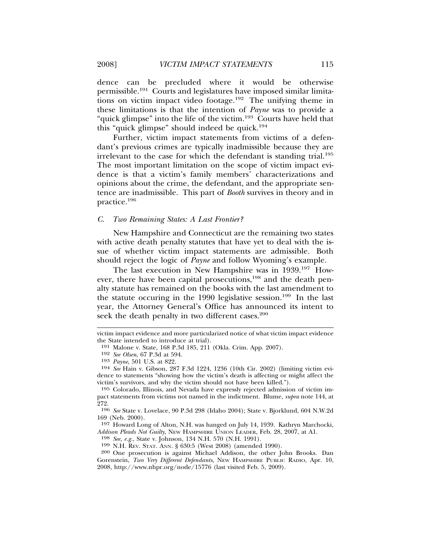dence can be precluded where it would be otherwise permissible.191 Courts and legislatures have imposed similar limitations on victim impact video footage.<sup>192</sup> The unifying theme in these limitations is that the intention of *Payne* was to provide a "quick glimpse" into the life of the victim.<sup>193</sup> Courts have held that this "quick glimpse" should indeed be quick.<sup>194</sup>

Further, victim impact statements from victims of a defendant's previous crimes are typically inadmissible because they are irrelevant to the case for which the defendant is standing trial.<sup>195</sup> The most important limitation on the scope of victim impact evidence is that a victim's family members' characterizations and opinions about the crime, the defendant, and the appropriate sentence are inadmissible. This part of *Booth* survives in theory and in practice.196

#### *C. Two Remaining States: A Last Frontier?*

New Hampshire and Connecticut are the remaining two states with active death penalty statutes that have yet to deal with the issue of whether victim impact statements are admissible. Both should reject the logic of *Payne* and follow Wyoming's example.

The last execution in New Hampshire was in 1939.197 However, there have been capital prosecutions,<sup>198</sup> and the death penalty statute has remained on the books with the last amendment to the statute occuring in the 1990 legislative session.<sup>199</sup> In the last year, the Attorney General's Office has announced its intent to seek the death penalty in two different cases.<sup>200</sup>

197 Howard Long of Alton, N.H. was hanged on July 14, 1939. Kathryn Marchocki, *Addison Pleads Not Guilty*, NEW HAMPSHIRE UNION LEADER, Feb. 28, 2007, at A1.

198 *See, e.g.*, State v. Johnson, 134 N.H. 570 (N.H. 1991).

199 N.H. REV. STAT. ANN. § 630:5 (West 2008) (amended 1990).

victim impact evidence and more particularized notice of what victim impact evidence the State intended to introduce at trial).

<sup>191</sup> Malone v. State, 168 P.3d 185, 211 (Okla. Crim. App. 2007).

<sup>192</sup> *See Olsen*, 67 P.3d at 594.

<sup>193</sup> *Payne*, 501 U.S. at 822.

<sup>194</sup> *See* Hain v. Gibson, 287 F.3d 1224, 1236 (10th Cir. 2002) (limiting victim evidence to statements "showing how the victim's death is affecting or might affect the victim's survivors, and why the victim should not have been killed.").

<sup>195</sup> Colorado, Illinois, and Nevada have expressly rejected admission of victim impact statements from victims not named in the indictment. Blume, *supra* note 144, at 272.

<sup>196</sup> *See* State v. Lovelace, 90 P.3d 298 (Idaho 2004); State v. Bjorklund, 604 N.W.2d 169 (Neb. 2000).

<sup>200</sup> One prosecution is against Michael Addison, the other John Brooks. Dan Gorenstein, *Two Very Different Defendants*, NEW HAMPSHIRE PUBLIC RADIO, Apr. 10, 2008, http://www.nhpr.org/node/15776 (last visited Feb. 5, 2009).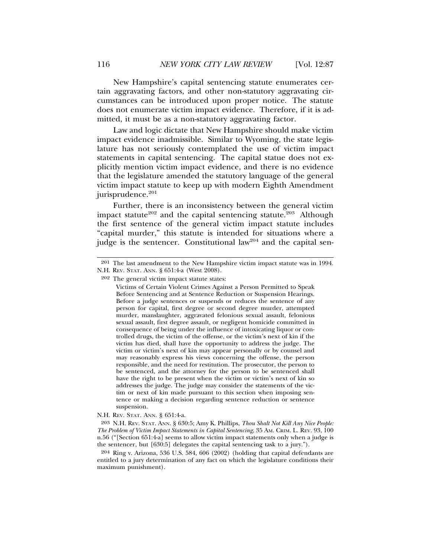New Hampshire's capital sentencing statute enumerates certain aggravating factors, and other non-statutory aggravating circumstances can be introduced upon proper notice. The statute does not enumerate victim impact evidence. Therefore, if it is admitted, it must be as a non-statutory aggravating factor.

Law and logic dictate that New Hampshire should make victim impact evidence inadmissible. Similar to Wyoming, the state legislature has not seriously contemplated the use of victim impact statements in capital sentencing. The capital statue does not explicitly mention victim impact evidence, and there is no evidence that the legislature amended the statutory language of the general victim impact statute to keep up with modern Eighth Amendment jurisprudence.<sup>201</sup>

Further, there is an inconsistency between the general victim impact statute<sup>202</sup> and the capital sentencing statute.<sup>203</sup> Although the first sentence of the general victim impact statute includes "capital murder," this statute is intended for situations where a judge is the sentencer. Constitutional law<sup>204</sup> and the capital sen-

<sup>201</sup> The last amendment to the New Hampshire victim impact statute was in 1994. N.H. REV. STAT. ANN. § 651:4-a (West 2008).

<sup>202</sup> The general victim impact statute states:

Victims of Certain Violent Crimes Against a Person Permitted to Speak Before Sentencing and at Sentence Reduction or Suspension Hearings. Before a judge sentences or suspends or reduces the sentence of any person for capital, first degree or second degree murder, attempted murder, manslaughter, aggravated felonious sexual assault, felonious sexual assault, first degree assault, or negligent homicide committed in consequence of being under the influence of intoxicating liquor or controlled drugs, the victim of the offense, or the victim's next of kin if the victim has died, shall have the opportunity to address the judge. The victim or victim's next of kin may appear personally or by counsel and may reasonably express his views concerning the offense, the person responsible, and the need for restitution. The prosecutor, the person to be sentenced, and the attorney for the person to be sentenced shall have the right to be present when the victim or victim's next of kin so addresses the judge. The judge may consider the statements of the victim or next of kin made pursuant to this section when imposing sentence or making a decision regarding sentence reduction or sentence suspension.

N.H. REV. STAT. ANN. § 651:4-a.

<sup>203</sup> N.H. REV. STAT. ANN. § 630:5; Amy K. Phillips, *Thou Shalt Not Kill Any Nice People: The Problem of Victim Impact Statements in Capital Sentencing*, 35 AM. CRIM. L. REV. 93, 100 n.56 ("[Section 651:4-a] seems to allow victim impact statements only when a judge is the sentencer, but [630:5] delegates the capital sentencing task to a jury.").

<sup>204</sup> Ring v. Arizona, 536 U.S. 584, 606 (2002) (holding that capital defendants are entitled to a jury determination of any fact on which the legislature conditions their maximum punishment).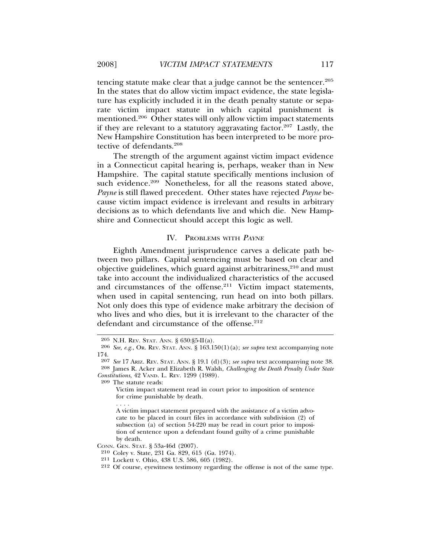tencing statute make clear that a judge cannot be the sentencer.<sup>205</sup> In the states that do allow victim impact evidence, the state legislature has explicitly included it in the death penalty statute or separate victim impact statute in which capital punishment is mentioned.<sup>206</sup> Other states will only allow victim impact statements if they are relevant to a statutory aggravating factor.<sup>207</sup> Lastly, the New Hampshire Constitution has been interpreted to be more protective of defendants.<sup>208</sup>

The strength of the argument against victim impact evidence in a Connecticut capital hearing is, perhaps, weaker than in New Hampshire. The capital statute specifically mentions inclusion of such evidence.<sup>209</sup> Nonetheless, for all the reasons stated above, *Payne* is still flawed precedent. Other states have rejected *Payne* because victim impact evidence is irrelevant and results in arbitrary decisions as to which defendants live and which die. New Hampshire and Connecticut should accept this logic as well.

#### IV. PROBLEMS WITH <sup>P</sup>AYNE

Eighth Amendment jurisprudence carves a delicate path between two pillars. Capital sentencing must be based on clear and objective guidelines, which guard against arbitrariness,<sup>210</sup> and must take into account the individualized characteristics of the accused and circumstances of the offense.<sup>211</sup> Victim impact statements, when used in capital sentencing, run head on into both pillars. Not only does this type of evidence make arbitrary the decision of who lives and who dies, but it is irrelevant to the character of the defendant and circumstance of the offense.<sup>212</sup>

. . . .

A victim impact statement prepared with the assistance of a victim advocate to be placed in court files in accordance with subdivision (2) of subsection (a) of section 54-220 may be read in court prior to imposition of sentence upon a defendant found guilty of a crime punishable by death.

CONN. GEN. STAT. § 53a-46d (2007).

<sup>205</sup> N.H. REV. STAT. ANN. § 630:§5-II(a).

<sup>206</sup> *See, e.g.*, OR. REV. STAT. ANN. § 163.150(1)(a); *see supra* text accompanying note 174.

<sup>207</sup> *See* 17 ARIZ. REV. STAT. ANN. § 19.1 (d)(3); *see supra* text accompanying note 38. 208 James R. Acker and Elizabeth R. Walsh, *Challenging the Death Penalty Under State Constitutions*, 42 VAND. L. REV. 1299 (1989).

<sup>209</sup> The statute reads:

Victim impact statement read in court prior to imposition of sentence for crime punishable by death.

<sup>210</sup> Coley v. State, 231 Ga. 829, 615 (Ga. 1974).

<sup>211</sup> Lockett v. Ohio, 438 U.S. 586, 605 (1982).

<sup>212</sup> Of course, eyewitness testimony regarding the offense is not of the same type.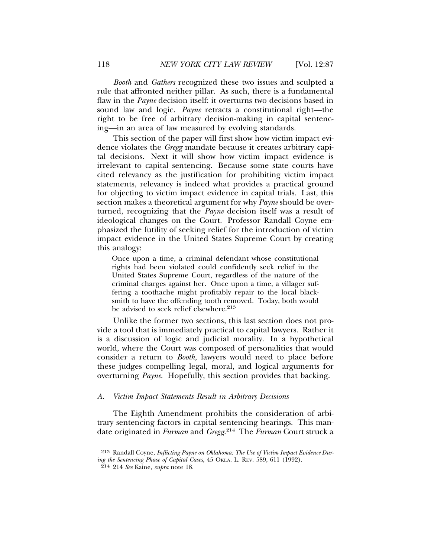*Booth* and *Gathers* recognized these two issues and sculpted a rule that affronted neither pillar. As such, there is a fundamental flaw in the *Payne* decision itself: it overturns two decisions based in sound law and logic. *Payne* retracts a constitutional right—the right to be free of arbitrary decision-making in capital sentencing—in an area of law measured by evolving standards.

This section of the paper will first show how victim impact evidence violates the *Gregg* mandate because it creates arbitrary capital decisions. Next it will show how victim impact evidence is irrelevant to capital sentencing. Because some state courts have cited relevancy as the justification for prohibiting victim impact statements, relevancy is indeed what provides a practical ground for objecting to victim impact evidence in capital trials. Last, this section makes a theoretical argument for why *Payne* should be overturned, recognizing that the *Payne* decision itself was a result of ideological changes on the Court. Professor Randall Coyne emphasized the futility of seeking relief for the introduction of victim impact evidence in the United States Supreme Court by creating this analogy:

Once upon a time, a criminal defendant whose constitutional rights had been violated could confidently seek relief in the United States Supreme Court, regardless of the nature of the criminal charges against her. Once upon a time, a villager suffering a toothache might profitably repair to the local blacksmith to have the offending tooth removed. Today, both would be advised to seek relief elsewhere.<sup>213</sup>

Unlike the former two sections, this last section does not provide a tool that is immediately practical to capital lawyers. Rather it is a discussion of logic and judicial morality. In a hypothetical world, where the Court was composed of personalities that would consider a return to *Booth*, lawyers would need to place before these judges compelling legal, moral, and logical arguments for overturning *Payne*. Hopefully, this section provides that backing.

#### *A. Victim Impact Statements Result in Arbitrary Decisions*

The Eighth Amendment prohibits the consideration of arbitrary sentencing factors in capital sentencing hearings. This mandate originated in *Furman* and *Gregg*. 214 The *Furman* Court struck a

<sup>213</sup> Randall Coyne, *Inflicting Payne on Oklahoma: The Use of Victim Impact Evidence During the Sentencing Phase of Capital Cases*, 45 OKLA. L. REV. 589, 611 (1992).

<sup>214</sup> 214 *See* Kaine, *supra* note 18.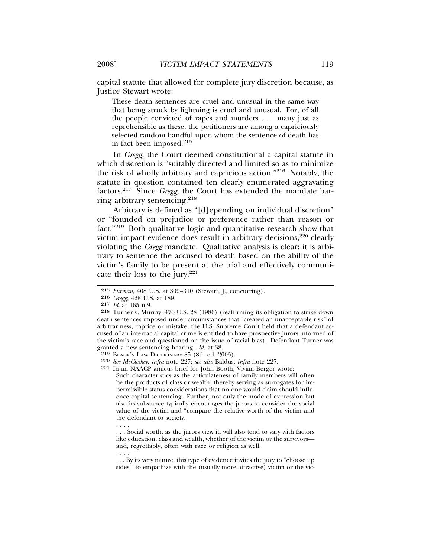capital statute that allowed for complete jury discretion because, as Justice Stewart wrote:

These death sentences are cruel and unusual in the same way that being struck by lightning is cruel and unusual. For, of all the people convicted of rapes and murders . . . many just as reprehensible as these, the petitioners are among a capriciously selected random handful upon whom the sentence of death has in fact been imposed.<sup>215</sup>

In *Gregg*, the Court deemed constitutional a capital statute in which discretion is "suitably directed and limited so as to minimize the risk of wholly arbitrary and capricious action."216 Notably, the statute in question contained ten clearly enumerated aggravating factors.217 Since *Gregg*, the Court has extended the mandate barring arbitrary sentencing.<sup>218</sup>

Arbitrary is defined as "[d]epending on individual discretion" or "founded on prejudice or preference rather than reason or fact."219 Both qualitative logic and quantitative research show that victim impact evidence does result in arbitrary decisions,<sup>220</sup> clearly violating the *Gregg* mandate. Qualitative analysis is clear: it is arbitrary to sentence the accused to death based on the ability of the victim's family to be present at the trial and effectively communicate their loss to the jury.<sup>221</sup>

. . . .

<sup>215</sup> *Furman*, 408 U.S. at 309–310 (Stewart, J., concurring).

<sup>216</sup> *Gregg*, 428 U.S. at 189.

<sup>217</sup> *Id*. at 165 n.9.

<sup>218</sup> Turner v. Murray, 476 U.S. 28 (1986) (reaffirming its obligation to strike down death sentences imposed under circumstances that "created an unacceptable risk" of arbitrariness, caprice or mistake, the U.S. Supreme Court held that a defendant accused of an interracial capital crime is entitled to have prospective jurors informed of the victim's race and questioned on the issue of racial bias). Defendant Turner was granted a new sentencing hearing. *Id*. at 38.

<sup>219</sup> BLACK'S LAW DICTIONARY 85 (8th ed. 2005).

<sup>220</sup> *See McCleskey*, *infra* note 227; *see also* Baldus, *infra* note 227.

<sup>221</sup> In an NAACP amicus brief for John Booth, Vivian Berger wrote:

Such characteristics as the articulateness of family members will often be the products of class or wealth, thereby serving as surrogates for impermissible status considerations that no one would claim should influence capital sentencing. Further, not only the mode of expression but also its substance typically encourages the jurors to consider the social value of the victim and "compare the relative worth of the victim and the defendant to society.

<sup>. . .</sup> Social worth, as the jurors view it, will also tend to vary with factors like education, class and wealth, whether of the victim or the survivors and, regrettably, often with race or religion as well.

<sup>. . . .</sup> . . . By its very nature, this type of evidence invites the jury to "choose up sides," to empathize with the (usually more attractive) victim or the vic-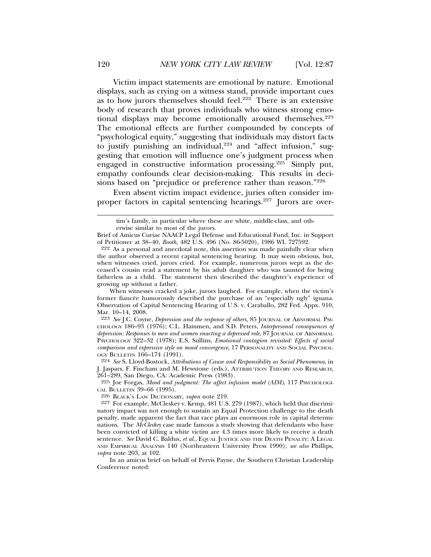Victim impact statements are emotional by nature. Emotional displays, such as crying on a witness stand, provide important cues as to how jurors themselves should feel.<sup>222</sup> There is an extensive body of research that proves individuals who witness strong emotional displays may become emotionally aroused themselves.<sup>223</sup> The emotional effects are further compounded by concepts of "psychological equity," suggesting that individuals may distort facts to justify punishing an individual, $224$  and "affect infusion," suggesting that emotion will influence one's judgment process when engaged in constructive information processing.225 Simply put, empathy confounds clear decision-making. This results in decisions based on "prejudice or preference rather than reason."<sup>226</sup>

Even absent victim impact evidence, juries often consider improper factors in capital sentencing hearings.227 Jurors are over-

224 *See* S. Lloyd-Bostock, *Attributions of Cause and Responsibility as Social Phenomena*, in J. Jaspars, F. Fincham and M. Hewstone (eds.), ATTRIBUTION THEORY AND RESEARCH, 261–289, San Diego, CA: Academic Press (1983).

<sup>225</sup> Joe Forgas, *Mood and judgment: The affect infusion model (AIM)*, 117 PSYCHOLOGI-CAL BULLETIN 39–66 (1995).

226 BLACK'S LAW DICTIONARY, *supra* note 219.

In an amicus brief on behalf of Pervis Payne, the Southern Christian Leadership Conference noted:

tim's family, in particular where these are white, middle-class, and otherwise similar to most of the jurors.

Brief of Amicus Curiae NAACP Legal Defense and Educational Fund, Inc. in Support of Petitioner at 38–40, *Booth*, 482 U.S. 496 (No. 86-5020), 1986 WL 727592.

<sup>222</sup> As a personal and anecdotal note, this assertion was made painfully clear when the author observed a recent capital sentencing hearing. It may seem obvious, but, when witnesses cried, jurors cried. For example, numerous jurors wept as the deceased's cousin read a statement by his adult daughter who was taunted for being fatherless as a child. The statement then described the daughter's experience of growing up without a father.

When witnesses cracked a joke, jurors laughed. For example, when the victim's former fiancée humorously described the purchase of an "especially ugly" iguana. Observation of Capital Sentencing Hearing of U.S. v. Caraballo, 282 Fed. Appx. 910, Mar. 10–14, 2008.

<sup>223</sup> *See* J.C. Coyne, *Depression and the response of others*, 85 JOURNAL OF ABNORMAL PSY-CHOLOGY 186–93 (1976); C.L. Hammen, and S.D. Peters, *Interpersonal consequences of depression: Responses to men and women enacting a depressed role*, 87 JOURNAL OF ABNORMAL PSYCHOLOGY 322–32 (1978); E.S. Sullins, *Emotional contagion revisited: Effects of social comparison and expressive style on mood convergence*, 17 PERSONALITY AND SOCIAL PSYCHOL-OGY BULLETIN 166–174 (1991).

<sup>227</sup> For example, McCleskey v. Kemp, 481 U.S. 279 (1987), which held that discriminatory impact was not enough to sustain an Equal Protection challenge to the death penalty, made apparent the fact that race plays an enormous role in capital determinations. The *McCleskey* case made famous a study showing that defendants who have been convicted of killing a white victim are 4.3 times more likely to receive a death sentence. *See* David C. Baldus, *et al.*, EQUAL JUSTICE AND THE DEATH PENALTY: A LEGAL AND EMPIRICAL ANALYSIS 140 (Northeastern University Press 1990); *see also* Phillips, *supra* note 203, at 102.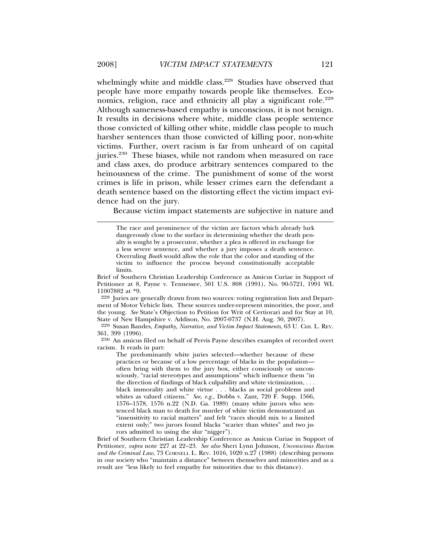whelmingly white and middle class.<sup>228</sup> Studies have observed that people have more empathy towards people like themselves. Economics, religion, race and ethnicity all play a significant role.<sup>229</sup> Although sameness-based empathy is unconscious, it is not benign. It results in decisions where white, middle class people sentence those convicted of killing other white, middle class people to much harsher sentences than those convicted of killing poor, non-white victims. Further, overt racism is far from unheard of on capital juries.<sup>230</sup> These biases, while not random when measured on race and class axes, do produce arbitrary sentences compared to the heinousness of the crime. The punishment of some of the worst crimes is life in prison, while lesser crimes earn the defendant a death sentence based on the distorting effect the victim impact evidence had on the jury.

Because victim impact statements are subjective in nature and

Brief of Southern Christian Leadership Conference as Amicus Curiae in Support of Petitioner at 8, Payne v. Tennessee, 501 U.S. 808 (1991), No. 90-5721, 1991 WL 11007882 at \*9.

228 Juries are generally drawn from two sources: voting registration lists and Department of Motor Vehicle lists. These sources under-represent minorities, the poor, and the young. *See* State's Objection to Petition for Writ of Certiorari and for Stay at 10, State of New Hampshire v. Addison, No. 2007-0737 (N.H. Aug. 30, 2007).

229 Susan Bandes, *Empathy, Narrative, and Victim Impact Statements*, 63 U. CHI. L. REV. 361, 399 (1996).

230 An amicus filed on behalf of Pervis Payne describes examples of recorded overt racism. It reads in part:

The predominantly white juries selected—whether because of these practices or because of a low percentage of blacks in the population often bring with them to the jury box, either consciously or unconsciously, "racial stereotypes and assumptions" which influence them "in the direction of findings of black culpability and white victimization, . . . black immorality and white virtue . . . blacks as social problems and whites as valued citizens." *See, e.g.*, Dobbs v. Zant, 720 F. Supp. 1566, 1576–1578, 1576 n.22 (N.D. Ga. 1989) (many white jurors who sentenced black man to death for murder of white victim demonstrated an "insensitivity to racial matters" and felt "races should mix to a limited extent only;" two jurors found blacks "scarier than whites" and two jurors admitted to using the slur "nigger").

Brief of Southern Christian Leadership Conference as Amicus Curiae in Support of Petitioner, *supra* note 227 at 22–23. *See also* Sheri Lynn Johnson, *Unconscious Racism* and the Criminal Law, 73 CORNELL L. REV. 1016, 1020 n.27 (1988) (describing persons in our society who "maintain a distance" between themselves and minorities and as a result are "less likely to feel empathy for minorities due to this distance).

The race and prominence of the victim are factors which already lurk dangerously close to the surface in determining whether the death penalty is sought by a prosecutor, whether a plea is offered in exchange for a less severe sentence, and whether a jury imposes a death sentence. Overruling *Booth* would allow the role that the color and standing of the victim to influence the process beyond constitutionally acceptable limits.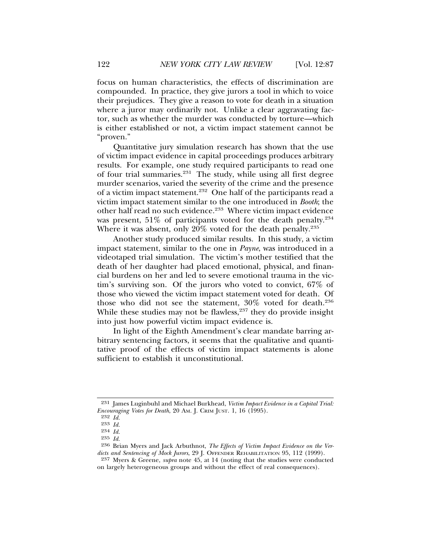focus on human characteristics, the effects of discrimination are compounded. In practice, they give jurors a tool in which to voice their prejudices. They give a reason to vote for death in a situation where a juror may ordinarily not. Unlike a clear aggravating factor, such as whether the murder was conducted by torture—which is either established or not, a victim impact statement cannot be "proven."

Quantitative jury simulation research has shown that the use of victim impact evidence in capital proceedings produces arbitrary results. For example, one study required participants to read one of four trial summaries.231 The study, while using all first degree murder scenarios, varied the severity of the crime and the presence of a victim impact statement.232 One half of the participants read a victim impact statement similar to the one introduced in *Booth*; the other half read no such evidence.233 Where victim impact evidence was present, 51% of participants voted for the death penalty.<sup>234</sup> Where it was absent, only  $20\%$  voted for the death penalty.<sup>235</sup>

Another study produced similar results. In this study, a victim impact statement, similar to the one in *Payne*, was introduced in a videotaped trial simulation. The victim's mother testified that the death of her daughter had placed emotional, physical, and financial burdens on her and led to severe emotional trauma in the victim's surviving son. Of the jurors who voted to convict, 67% of those who viewed the victim impact statement voted for death. Of those who did not see the statement, 30% voted for death.236 While these studies may not be flawless,<sup>237</sup> they do provide insight into just how powerful victim impact evidence is.

In light of the Eighth Amendment's clear mandate barring arbitrary sentencing factors, it seems that the qualitative and quantitative proof of the effects of victim impact statements is alone sufficient to establish it unconstitutional.

<sup>231</sup> James Luginbuhl and Michael Burkhead, *Victim Impact Evidence in a Capital Trial: Encouraging Votes for Death*, 20 AM. J. CRIM JUST. 1, 16 (1995).

<sup>232</sup> *Id.*

<sup>233</sup> *Id.*

<sup>234</sup> *Id.*

<sup>235</sup> *Id.*

<sup>236</sup> Brian Myers and Jack Arbuthnot, *The Effects of Victim Impact Evidence on the Verdicts and Sentencing of Mock Jurors*, 29 J. OFFENDER REHABILITATION 95, 112 (1999).

<sup>237</sup> Myers & Greene, *supra* note 45, at 14 (noting that the studies were conducted on largely heterogeneous groups and without the effect of real consequences).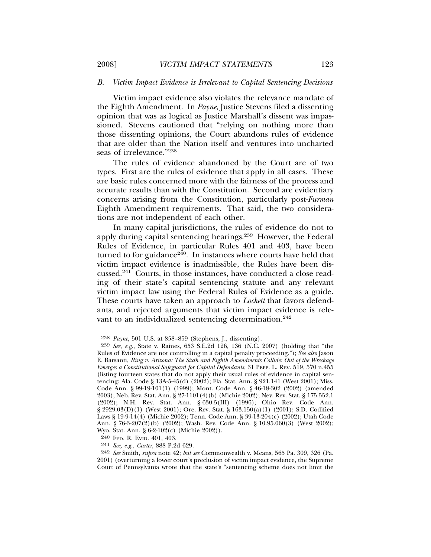# *B. Victim Impact Evidence is Irrelevant to Capital Sentencing Decisions*

Victim impact evidence also violates the relevance mandate of the Eighth Amendment. In *Payne*, Justice Stevens filed a dissenting opinion that was as logical as Justice Marshall's dissent was impassioned. Stevens cautioned that "relying on nothing more than those dissenting opinions, the Court abandons rules of evidence that are older than the Nation itself and ventures into uncharted seas of irrelevance."238

The rules of evidence abandoned by the Court are of two types. First are the rules of evidence that apply in all cases. These are basic rules concerned more with the fairness of the process and accurate results than with the Constitution. Second are evidentiary concerns arising from the Constitution, particularly post-*Furman* Eighth Amendment requirements. That said, the two considerations are not independent of each other.

In many capital jurisdictions, the rules of evidence do not to apply during capital sentencing hearings.239 However, the Federal Rules of Evidence, in particular Rules 401 and 403, have been turned to for guidance $240$ . In instances where courts have held that victim impact evidence is inadmissible, the Rules have been discussed.241 Courts, in those instances, have conducted a close reading of their state's capital sentencing statute and any relevant victim impact law using the Federal Rules of Evidence as a guide. These courts have taken an approach to *Lockett* that favors defendants, and rejected arguments that victim impact evidence is relevant to an individualized sentencing determination.<sup>242</sup>

<sup>238</sup> *Payne*, 501 U.S. at 858–859 (Stephens, J., dissenting).

<sup>239</sup> *See, e.g.*, State v. Raines, 653 S.E.2d 126, 136 (N.C. 2007) (holding that "the Rules of Evidence are not controlling in a capital penalty proceeding."); *See also* Jason E. Barsanti, *Ring v. Arizona: The Sixth and Eighth Amendments Collide: Out of the Wreckage Emerges a Constitutional Safeguard for Capital Defendants*, 31 PEPP. L. REV. 519, 570 n.455 (listing fourteen states that do not apply their usual rules of evidence in capital sentencing: Ala. Code § 13A-5-45(d)  $(2002)$ ; Fla. Stat. Ann. § 921.141 (West 2001); Miss. Code Ann. § 99-19-101(1) (1999); Mont. Code Ann. § 46-18-302 (2002) (amended 2003); Neb. Rev. Stat. Ann. § 27-1101(4)(b) (Michie 2002); Nev. Rev. Stat. § 175.552.1 (2002); N.H. Rev. Stat. Ann. § 630:5(III) (1996); Ohio Rev. Code Ann. § 2929.03(D)(1) (West 2001); Ore. Rev. Stat. § 163.150(a)(1) (2001); S.D. Codified Laws § 19-9-14(4) (Michie 2002); Tenn. Code Ann. § 39-13-204(c) (2002); Utah Code Ann. § 76-3-207(2)(b) (2002); Wash. Rev. Code Ann. § 10.95.060(3) (West 2002); Wyo. Stat. Ann. § 6-2-102(c) (Michie 2002)).

<sup>240</sup> FED. R. EVID. 401, 403.

<sup>241</sup> *See, e.g.*, *Carter*, 888 P.2d 629.

<sup>242</sup> *See* Smith, *supra* note 42; *but see* Commonwealth v. Means, 565 Pa. 309, 326 (Pa. 2001) (overturning a lower court's preclusion of victim impact evidence, the Supreme Court of Pennsylvania wrote that the state's "sentencing scheme does not limit the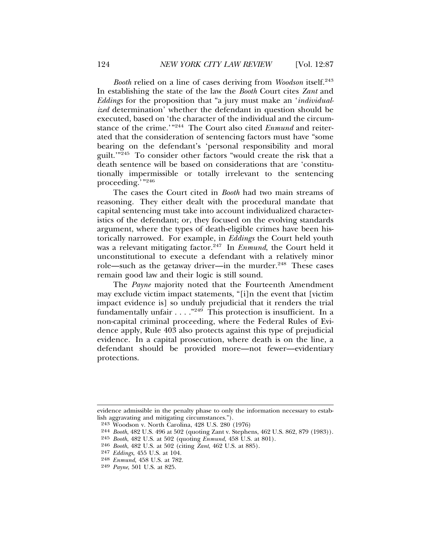*Booth* relied on a line of cases deriving from *Woodson* itself.<sup>243</sup> In establishing the state of the law the *Booth* Court cites *Zant* and *Eddings* for the proposition that "a jury must make an '*individualized* determination' whether the defendant in question should be executed, based on 'the character of the individual and the circumstance of the crime.'"244 The Court also cited *Enmund* and reiterated that the consideration of sentencing factors must have "some bearing on the defendant's 'personal responsibility and moral guilt.'"245 To consider other factors "would create the risk that a death sentence will be based on considerations that are 'constitutionally impermissible or totally irrelevant to the sentencing proceeding.'"<sup>246</sup>

The cases the Court cited in *Booth* had two main streams of reasoning. They either dealt with the procedural mandate that capital sentencing must take into account individualized characteristics of the defendant; or, they focused on the evolving standards argument, where the types of death-eligible crimes have been historically narrowed. For example, in *Eddings* the Court held youth was a relevant mitigating factor.<sup>247</sup> In *Enmund*, the Court held it unconstitutional to execute a defendant with a relatively minor role—such as the getaway driver—in the murder.<sup>248</sup> These cases remain good law and their logic is still sound.

The *Payne* majority noted that the Fourteenth Amendment may exclude victim impact statements, "[i]n the event that [victim impact evidence is] so unduly prejudicial that it renders the trial fundamentally unfair  $\dots$ ."<sup>249</sup> This protection is insufficient. In a non-capital criminal proceeding, where the Federal Rules of Evidence apply, Rule 403 also protects against this type of prejudicial evidence. In a capital prosecution, where death is on the line, a defendant should be provided more—not fewer—evidentiary protections.

evidence admissible in the penalty phase to only the information necessary to establish aggravating and mitigating circumstances.").

<sup>243</sup> Woodson v. North Carolina, 428 U.S. 280 (1976)

<sup>244</sup> *Booth*, 482 U.S. 496 at 502 (quoting Zant v. Stephens, 462 U.S. 862, 879 (1983)).

<sup>245</sup> *Booth*, 482 U.S. at 502 (quoting *Enmund*, 458 U.S. at 801).

<sup>246</sup> *Booth*, 482 U.S. at 502 (citing *Zant*, 462 U.S. at 885).

<sup>247</sup> *Eddings*, 455 U.S. at 104.

<sup>248</sup> *Enmund*, 458 U.S. at 782.

<sup>249</sup> *Payne*, 501 U.S. at 825.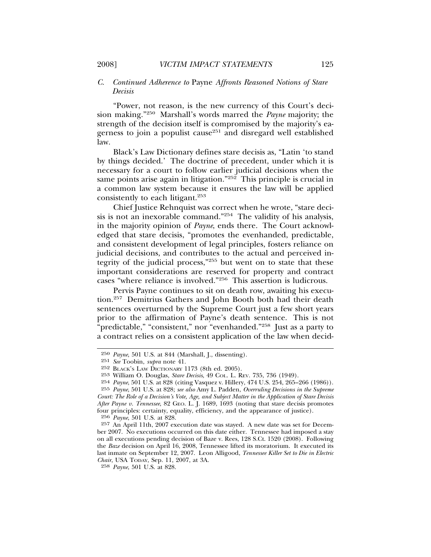# *C. Continued Adherence to* Payne *Affronts Reasoned Notions of Stare Decisis*

"Power, not reason, is the new currency of this Court's decision making."250 Marshall's words marred the *Payne* majority; the strength of the decision itself is compromised by the majority's eagerness to join a populist cause<sup>251</sup> and disregard well established law.

Black's Law Dictionary defines stare decisis as, "Latin 'to stand by things decided.' The doctrine of precedent, under which it is necessary for a court to follow earlier judicial decisions when the same points arise again in litigation."<sup>252</sup> This principle is crucial in a common law system because it ensures the law will be applied consistently to each litigant.<sup>253</sup>

Chief Justice Rehnquist was correct when he wrote, "stare decisis is not an inexorable command."254 The validity of his analysis, in the majority opinion of *Payne*, ends there. The Court acknowledged that stare decisis, "promotes the evenhanded, predictable, and consistent development of legal principles, fosters reliance on judicial decisions, and contributes to the actual and perceived integrity of the judicial process,"255 but went on to state that these important considerations are reserved for property and contract cases "where reliance is involved."256 This assertion is ludicrous.

Pervis Payne continues to sit on death row, awaiting his execution.257 Demitrius Gathers and John Booth both had their death sentences overturned by the Supreme Court just a few short years prior to the affirmation of Payne's death sentence. This is not "predictable," "consistent," nor "evenhanded."258 Just as a party to a contract relies on a consistent application of the law when decid-

256 *Payne*, 501 U.S. at 828.

<sup>250</sup> *Payne*, 501 U.S. at 844 (Marshall, J., dissenting).

<sup>251</sup> *See* Toobin, *supra* note 41.

<sup>252</sup> BLACK'S LAW DICTIONARY 1173 (8th ed. 2005).

<sup>253</sup> William O. Douglas, *Stare Decisis*, 49 COL. L. REV. 735, 736 (1949).

<sup>254</sup> *Payne*, 501 U.S. at 828 (citing Vasquez v. Hillery, 474 U.S. 254, 265–266 (1986)).

<sup>255</sup> *Payne*, 501 U.S. at 828; *see also* Amy L. Padden, *Overruling Decisions in the Supreme Court: The Role of a Decision's Vote, Age, and Subject Matter in the Application of Stare Decisis After Payne v. Tennessee*, 82 GEO. L. J. 1689, 1693 (noting that stare decisis promotes four principles: certainty, equality, efficiency, and the appearance of justice).

<sup>257</sup> An April 11th, 2007 execution date was stayed. A new date was set for December 2007. No executions occurred on this date either. Tennessee had imposed a stay on all executions pending decision of Baze v. Rees, 128 S.Ct. 1520 (2008). Following the *Baze* decision on April 16, 2008, Tennessee lifted its moratorium. It executed its last inmate on September 12, 2007. Leon Alligood, *Tennessee Killer Set to Die in Electric Chair*, USA TODAY, Sep. 11, 2007, at 3A.

<sup>258</sup> *Payne*, 501 U.S. at 828.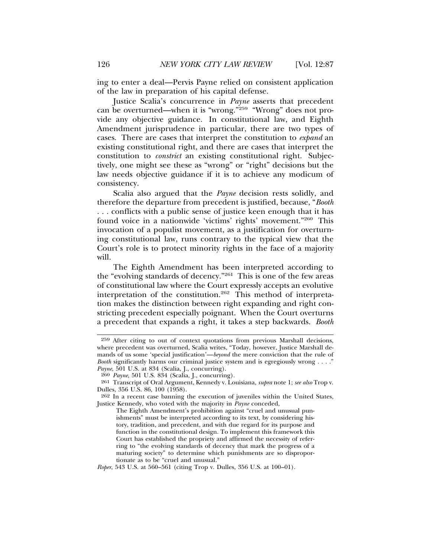ing to enter a deal—Pervis Payne relied on consistent application of the law in preparation of his capital defense.

Justice Scalia's concurrence in *Payne* asserts that precedent can be overturned—when it is "wrong."259 "Wrong" does not provide any objective guidance. In constitutional law, and Eighth Amendment jurisprudence in particular, there are two types of cases. There are cases that interpret the constitution to *expand* an existing constitutional right, and there are cases that interpret the constitution to *constrict* an existing constitutional right. Subjectively, one might see these as "wrong" or "right" decisions but the law needs objective guidance if it is to achieve any modicum of consistency.

Scalia also argued that the *Payne* decision rests solidly, and therefore the departure from precedent is justified, because, "*Booth* . . . conflicts with a public sense of justice keen enough that it has found voice in a nationwide 'victims' rights' movement."260 This invocation of a populist movement, as a justification for overturning constitutional law, runs contrary to the typical view that the Court's role is to protect minority rights in the face of a majority will.

The Eighth Amendment has been interpreted according to the "evolving standards of decency."261 This is one of the few areas of constitutional law where the Court expressly accepts an evolutive interpretation of the constitution.<sup>262</sup> This method of interpretation makes the distinction between right expanding and right constricting precedent especially poignant. When the Court overturns a precedent that expands a right, it takes a step backwards. *Booth*

<sup>259</sup> After citing to out of context quotations from previous Marshall decisions, where precedent was overturned, Scalia writes, "Today, however, Justice Marshall demands of us some 'special justification'—*beyond* the mere conviction that the rule of *Booth* significantly harms our criminal justice system and is egregiously wrong . . . ." *Payne*, 501 U.S. at 834 (Scalia, J., concurring).

<sup>260</sup> *Payne*, 501 U.S. 834 (Scalia, J., concurring).

<sup>261</sup> Transcript of Oral Argument, Kennedy v. Louisiana, *supra* note 1; *see also* Trop v. Dulles, 356 U.S. 86, 100 (1958).

<sup>262</sup> In a recent case banning the execution of juveniles within the United States, Justice Kennedy, who voted with the majority in *Payne* conceded,

The Eighth Amendment's prohibition against "cruel and unusual punishments" must be interpreted according to its text, by considering history, tradition, and precedent, and with due regard for its purpose and function in the constitutional design. To implement this framework this Court has established the propriety and affirmed the necessity of referring to "the evolving standards of decency that mark the progress of a maturing society" to determine which punishments are so disproportionate as to be "cruel and unusual."

*Roper*, 543 U.S. at 560–561 (citing Trop v. Dulles, 356 U.S. at 100–01).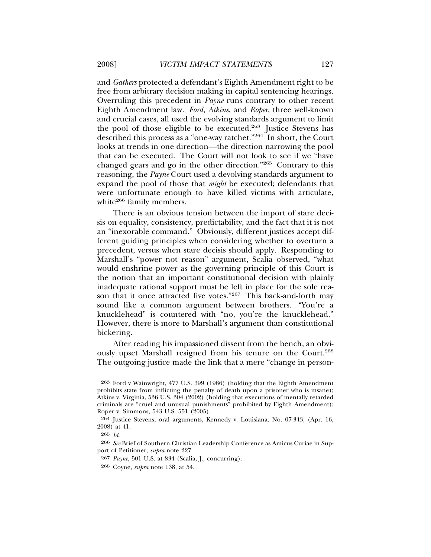and *Gathers* protected a defendant's Eighth Amendment right to be free from arbitrary decision making in capital sentencing hearings. Overruling this precedent in *Payne* runs contrary to other recent Eighth Amendment law. *Ford*, *Atkins*, and *Roper*, three well-known and crucial cases, all used the evolving standards argument to limit the pool of those eligible to be executed.<sup>263</sup> Justice Stevens has described this process as a "one-way ratchet."264 In short, the Court looks at trends in one direction—the direction narrowing the pool that can be executed. The Court will not look to see if we "have changed gears and go in the other direction."265 Contrary to this reasoning, the *Payne* Court used a devolving standards argument to expand the pool of those that *might* be executed; defendants that were unfortunate enough to have killed victims with articulate, white<sup>266</sup> family members.

There is an obvious tension between the import of stare decisis on equality, consistency, predictability, and the fact that it is not an "inexorable command." Obviously, different justices accept different guiding principles when considering whether to overturn a precedent, versus when stare decisis should apply. Responding to Marshall's "power not reason" argument, Scalia observed, "what would enshrine power as the governing principle of this Court is the notion that an important constitutional decision with plainly inadequate rational support must be left in place for the sole reason that it once attracted five votes."267 This back-and-forth may sound like a common argument between brothers. "You're a knucklehead" is countered with "no, you're the knucklehead." However, there is more to Marshall's argument than constitutional bickering.

After reading his impassioned dissent from the bench, an obviously upset Marshall resigned from his tenure on the Court.268 The outgoing justice made the link that a mere "change in person-

<sup>263</sup> Ford v Wainwright, 477 U.S. 399 (1986) (holding that the Eighth Amendment prohibits state from inflicting the penalty of death upon a prisoner who is insane); Atkins v. Virginia, 536 U.S. 304 (2002) (holding that executions of mentally retarded criminals are "cruel and unusual punishments" prohibited by Eighth Amendment); Roper v. Simmons, 543 U.S. 551 (2005).

<sup>264</sup> Justice Stevens, oral arguments, Kennedy v. Louisiana, No. 07-343, (Apr. 16, 2008) at 41.

<sup>265</sup> *Id*.

<sup>266</sup> *See* Brief of Southern Christian Leadership Conference as Amicus Curiae in Support of Petitioner, *supra* note 227.

<sup>267</sup> *Payne*, 501 U.S. at 834 (Scalia, J., concurring).

<sup>268</sup> Coyne, *supra* note 138, at 54.